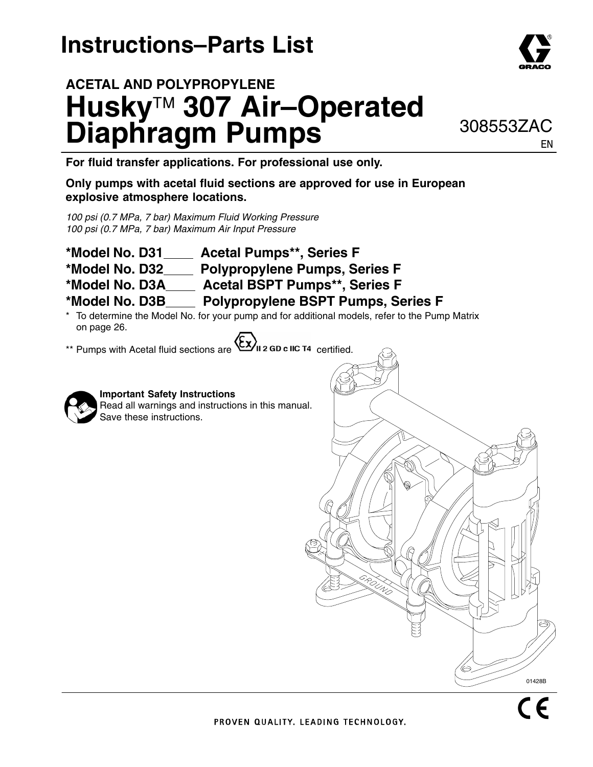# **Instructions–Parts List**

**ACETAL AND POLYPROPYLENE**





**For fluid transfer applications. For professional use only.**

#### **Only pumps with acetal fluid sections are approved for use in European explosive atmosphere locations.**

*100 psi (0.7 MPa, 7 bar) Maximum Fluid Working Pressure 100 psi (0.7 MPa, 7 bar) Maximum Air Input Pressure*

- **\*Model No. D31 Acetal Pumps\*\*, Series F**
- **\*Model No. D32 Polypropylene Pumps, Series F**
- \*Model No. D3A\_\_\_\_ Acetal BSPT Pumps\*\*, Series F
- **\*Model No. D3B Polypropylene BSPT Pumps, Series F**
- To determine the Model No. for your pump and for additional models, refer to the Pump Matrix on page 26.
- \*\* Pumps with Acetal fluid sections are  $\langle \xi \chi \rangle$  2 GD c IIC T4 certified.



### **Important Safety Instructions**

Read all warnings and instructions in this manual. Save these instructions.



EN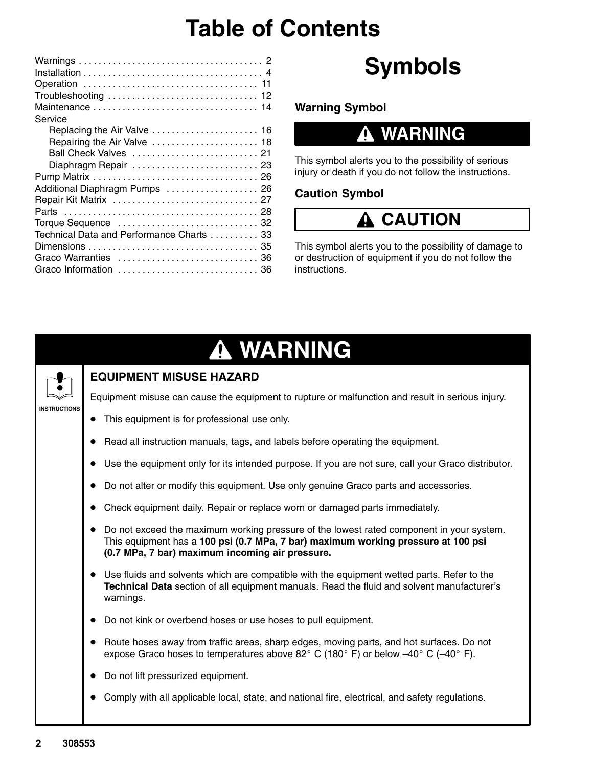# **Table of Contents**

| Service                                                                                                                                                                                                      |
|--------------------------------------------------------------------------------------------------------------------------------------------------------------------------------------------------------------|
| Repairing the Air Valve  18<br>Ball Check Valves  21<br>Diaphragm Repair  23<br>Additional Diaphragm Pumps  26<br>Technical Data and Performance Charts  33<br>Graco Warranties  36<br>Graco Information  36 |

# **Symbols**

**Warning Symbol**

## **WARNING**

This symbol alerts you to the possibility of serious injury or death if you do not follow the instructions.

### **Caution Symbol**

## **A CAUTION**

This symbol alerts you to the possibility of damage to or destruction of equipment if you do not follow the instructions.

# **WARNING**



### **EQUIPMENT MISUSE HAZARD**

Equipment misuse can cause the equipment to rupture or malfunction and result in serious injury.

- $\bullet$ This equipment is for professional use only.
- $\bullet$ Read all instruction manuals, tags, and labels before operating the equipment.
- $\bullet$ Use the equipment only for its intended purpose. If you are not sure, call your Graco distributor.
- $\bullet$ Do not alter or modify this equipment. Use only genuine Graco parts and accessories.
- -Check equipment daily. Repair or replace worn or damaged parts immediately.
- $\bullet$  Do not exceed the maximum working pressure of the lowest rated component in your system. This equipment has a **100 psi (0.7 MPa, 7 bar) maximum working pressure at 100 psi (0.7 MPa, 7 bar) maximum incoming air pressure.**
- $\bullet$  Use fluids and solvents which are compatible with the equipment wetted parts. Refer to the **Technical Data** section of all equipment manuals. Read the fluid and solvent manufacturer's warnings.
- Do not kink or overbend hoses or use hoses to pull equipment.
- $\bullet$  Route hoses away from traffic areas, sharp edges, moving parts, and hot surfaces. Do not expose Graco hoses to temperatures above 82 $\degree$  C (180 $\degree$  F) or below -40 $\degree$  C (-40 $\degree$  F).
- $\bullet$ Do not lift pressurized equipment.
- $\bullet$ Comply with all applicable local, state, and national fire, electrical, and safety regulations.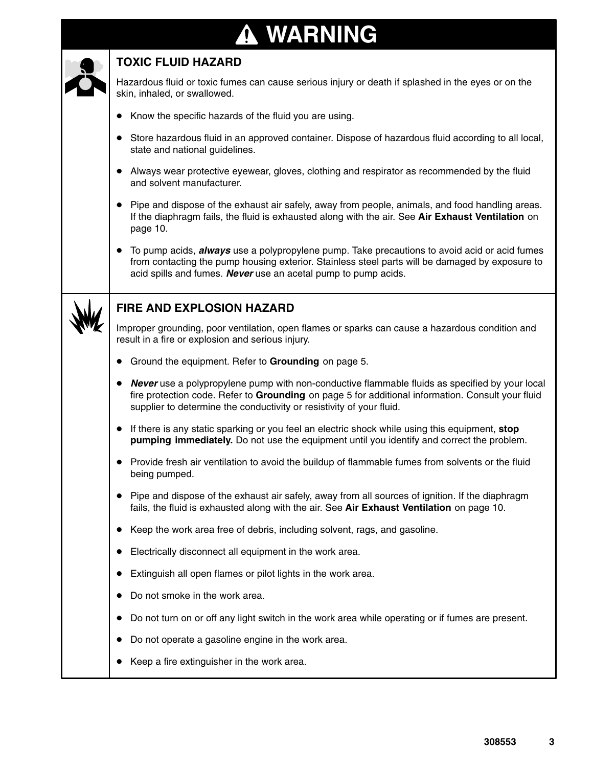# **WARNING**

### **TOXIC FLUID HAZARD**

Hazardous fluid or toxic fumes can cause serious injury or death if splashed in the eyes or on the skin, inhaled, or swallowed.

- $\bullet$ Know the specific hazards of the fluid you are using.
- $\bullet$  Store hazardous fluid in an approved container. Dispose of hazardous fluid according to all local, state and national guidelines.
- $\bullet$  Always wear protective eyewear, gloves, clothing and respirator as recommended by the fluid and solvent manufacturer.
- Pipe and dispose of the exhaust air safely, away from people, animals, and food handling areas. If the diaphragm fails, the fluid is exhausted along with the air. See **Air Exhaust Ventilation** on page 10.
- $\bullet$  To pump acids, *always* use a polypropylene pump. Take precautions to avoid acid or acid fumes from contacting the pump housing exterior. Stainless steel parts will be damaged by exposure to acid spills and fumes. *Never* use an acetal pump to pump acids.



### **FIRE AND EXPLOSION HAZARD**

Improper grounding, poor ventilation, open flames or sparks can cause a hazardous condition and result in a fire or explosion and serious injury.

- $\bullet$ Ground the equipment. Refer to **Grounding** on page 5.
- $\bullet$  *Never* use a polypropylene pump with non-conductive flammable fluids as specified by your local fire protection code. Refer to **Grounding** on page 5 for additional information. Consult your fluid supplier to determine the conductivity or resistivity of your fluid.
- If there is any static sparking or you feel an electric shock while using this equipment, **stop pumping immediately.** Do not use the equipment until you identify and correct the problem.
- Provide fresh air ventilation to avoid the buildup of flammable fumes from solvents or the fluid being pumped.
- Pipe and dispose of the exhaust air safely, away from all sources of ignition. If the diaphragm fails, the fluid is exhausted along with the air. See **Air Exhaust Ventilation** on page 10.
- Keep the work area free of debris, including solvent, rags, and gasoline.
- Electrically disconnect all equipment in the work area.
- $\bullet$ Extinguish all open flames or pilot lights in the work area.
- $\bullet$ Do not smoke in the work area.
- $\bullet$ Do not turn on or off any light switch in the work area while operating or if fumes are present.
- $\bullet$ Do not operate a gasoline engine in the work area.
- Keep a fire extinguisher in the work area.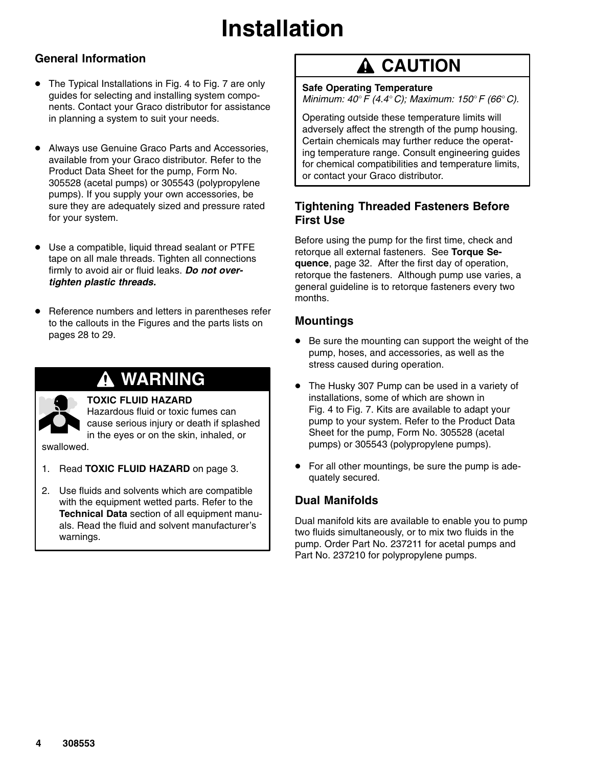### **General Information**

- The Typical Installations in Fig. 4 to Fig. 7 are only guides for selecting and installing system components. Contact your Graco distributor for assistance in planning a system to suit your needs.
- $\bullet$  Always use Genuine Graco Parts and Accessories, available from your Graco distributor. Refer to the Product Data Sheet for the pump, Form No. 305528 (acetal pumps) or 305543 (polypropylene pumps). If you supply your own accessories, be sure they are adequately sized and pressure rated for your system.
- $\bullet$  Use a compatible, liquid thread sealant or PTFE tape on all male threads. Tighten all connections firmly to avoid air or fluid leaks. *Do not overtighten plastic threads.*
- $\bullet$  Reference numbers and letters in parentheses refer to the callouts in the Figures and the parts lists on pages 28 to 29.

## **WARNING**



#### **TOXIC FLUID HAZARD**

Hazardous fluid or toxic fumes can cause serious injury or death if splashed in the eyes or on the skin, inhaled, or

swallowed.

- 1. Read **TOXIC FLUID HAZARD** on page 3.
- 2. Use fluids and solvents which are compatible with the equipment wetted parts. Refer to the **Technical Data** section of all equipment manuals. Read the fluid and solvent manufacturer's warnings.

## **A CAUTION**

**Safe Operating Temperature** *Minimum: 40F (4.4C); Maximum: 150F (66C).*

Operating outside these temperature limits will adversely affect the strength of the pump housing. Certain chemicals may further reduce the operating temperature range. Consult engineering guides for chemical compatibilities and temperature limits, or contact your Graco distributor.

#### **Tightening Threaded Fasteners Before First Use**

Before using the pump for the first time, check and retorque all external fasteners. See **Torque Sequence**, page 32. After the first day of operation, retorque the fasteners. Although pump use varies, a general guideline is to retorque fasteners every two months.

#### **Mountings**

- Be sure the mounting can support the weight of the pump, hoses, and accessories, as well as the stress caused during operation.
- $\bullet$  The Husky 307 Pump can be used in a variety of installations, some of which are shown in Fig. 4 to Fig. 7. Kits are available to adapt your pump to your system. Refer to the Product Data Sheet for the pump, Form No. 305528 (acetal pumps) or 305543 (polypropylene pumps).
- $\bullet$  For all other mountings, be sure the pump is adequately secured.

### **Dual Manifolds**

Dual manifold kits are available to enable you to pump two fluids simultaneously, or to mix two fluids in the pump. Order Part No. 237211 for acetal pumps and Part No. 237210 for polypropylene pumps.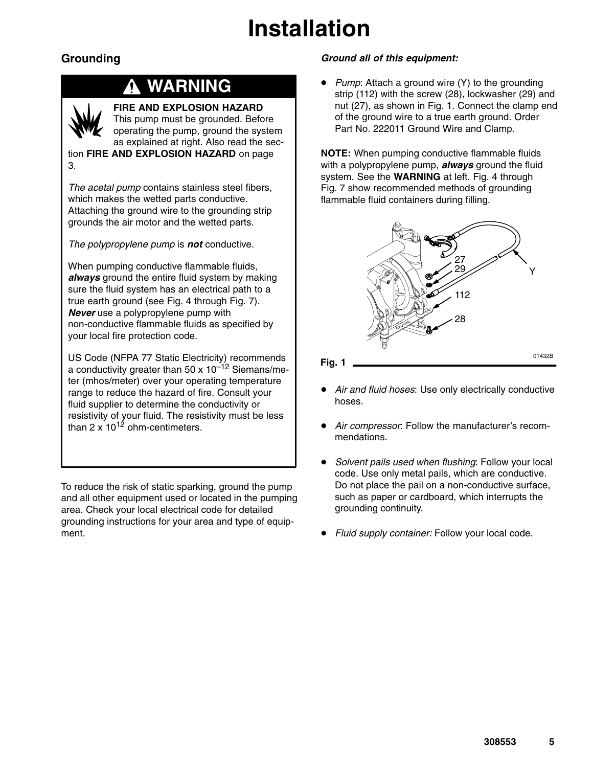### **Grounding**

### **WARNING**



### **FIRE AND EXPLOSION HAZARD**

This pump must be grounded. Before operating the pump, ground the system as explained at right. Also read the section **FIRE AND EXPLOSION HAZARD** on page

3.

*The acetal pump* contains stainless steel fibers, which makes the wetted parts conductive. Attaching the ground wire to the grounding strip grounds the air motor and the wetted parts.

*The polypropylene pump* is *not* conductive.

When pumping conductive flammable fluids, *always* ground the entire fluid system by making sure the fluid system has an electrical path to a true earth ground (see Fig. 4 through Fig. 7). *Never* use a polypropylene pump with non-conductive flammable fluids as specified by your local fire protection code.

US Code (NFPA 77 Static Electricity) recommends a conductivity greater than 50 x  $10^{-12}$  Siemans/meter (mhos/meter) over your operating temperature range to reduce the hazard of fire. Consult your fluid supplier to determine the conductivity or resistivity of your fluid. The resistivity must be less than 2 x  $10^{12}$  ohm-centimeters.

To reduce the risk of static sparking, ground the pump and all other equipment used or located in the pumping area. Check your local electrical code for detailed grounding instructions for your area and type of equipment.

#### *Ground all of this equipment:*

 $\bullet$ *Pump*: Attach a ground wire (Y) to the grounding strip (112) with the screw (28), lockwasher (29) and nut (27), as shown in Fig. 1. Connect the clamp end of the ground wire to a true earth ground. Order Part No. 222011 Ground Wire and Clamp.

**NOTE:** When pumping conductive flammable fluids with a polypropylene pump, *always* ground the fluid system. See the **WARNING** at left. Fig. 4 through Fig. 7 show recommended methods of grounding flammable fluid containers during filling.



- $\bullet$  *Air and fluid hoses*: Use only electrically conductive hoses.
- $\bullet$  *Air compressor*: Follow the manufacturer's recommendations.
- $\bullet$  *Solvent pails used when flushing*: Follow your local code. Use only metal pails, which are conductive. Do not place the pail on a non-conductive surface, such as paper or cardboard, which interrupts the grounding continuity.
- $\bullet$ *Fluid supply container:* Follow your local code.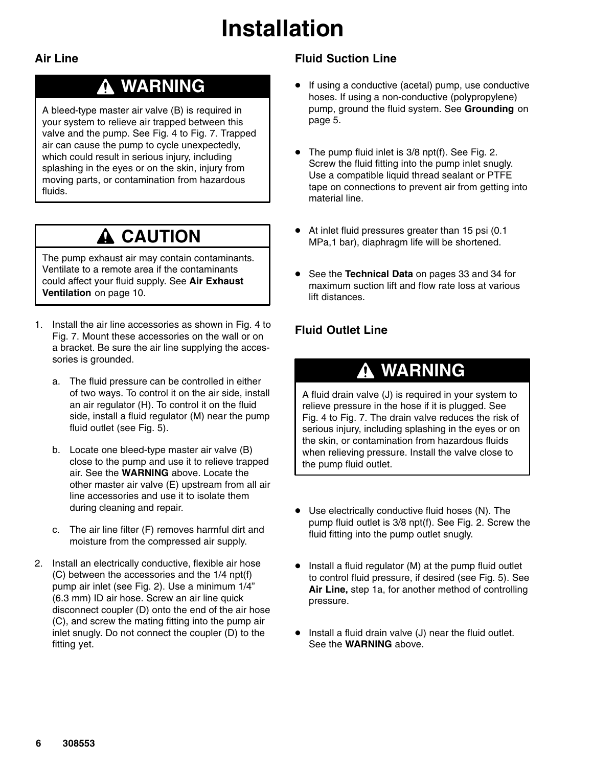#### **Air Line**

## **WARNING**

A bleed-type master air valve (B) is required in your system to relieve air trapped between this valve and the pump. See Fig. 4 to Fig. 7. Trapped air can cause the pump to cycle unexpectedly, which could result in serious injury, including splashing in the eyes or on the skin, injury from moving parts, or contamination from hazardous fluids.

## **A** CAUTION

The pump exhaust air may contain contaminants. Ventilate to a remote area if the contaminants could affect your fluid supply. See **Air Exhaust Ventilation** on page 10.

- 1. Install the air line accessories as shown in Fig. 4 to Fig. 7. Mount these accessories on the wall or on a bracket. Be sure the air line supplying the accessories is grounded.
	- a. The fluid pressure can be controlled in either of two ways. To control it on the air side, install an air regulator (H). To control it on the fluid side, install a fluid regulator (M) near the pump fluid outlet (see Fig. 5).
	- b. Locate one bleed-type master air valve (B) close to the pump and use it to relieve trapped air. See the **WARNING** above. Locate the other master air valve (E) upstream from all air line accessories and use it to isolate them during cleaning and repair.
	- c. The air line filter (F) removes harmful dirt and moisture from the compressed air supply.
- 2. Install an electrically conductive, flexible air hose (C) between the accessories and the 1/4 npt(f) pump air inlet (see Fig. 2). Use a minimum 1/4" (6.3 mm) ID air hose. Screw an air line quick disconnect coupler (D) onto the end of the air hose (C), and screw the mating fitting into the pump air inlet snugly. Do not connect the coupler (D) to the fitting yet.

### **Fluid Suction Line**

- $\bullet$  If using a conductive (acetal) pump, use conductive hoses. If using a non-conductive (polypropylene) pump, ground the fluid system. See **Grounding** on page 5.
- $\bullet$  The pump fluid inlet is 3/8 npt(f). See Fig. 2. Screw the fluid fitting into the pump inlet snugly. Use a compatible liquid thread sealant or PTFE tape on connections to prevent air from getting into material line.
- $\bullet$  At inlet fluid pressures greater than 15 psi (0.1 MPa,1 bar), diaphragm life will be shortened.
- $\bullet$  See the **Technical Data** on pages 33 and 34 for maximum suction lift and flow rate loss at various lift distances.

### **Fluid Outlet Line**

## **WARNING**

A fluid drain valve (J) is required in your system to relieve pressure in the hose if it is plugged. See Fig. 4 to Fig. 7. The drain valve reduces the risk of serious injury, including splashing in the eyes or on the skin, or contamination from hazardous fluids when relieving pressure. Install the valve close to the pump fluid outlet.

- Use electrically conductive fluid hoses (N). The pump fluid outlet is 3/8 npt(f). See Fig. 2. Screw the fluid fitting into the pump outlet snugly.
- $\bullet$  Install a fluid regulator (M) at the pump fluid outlet to control fluid pressure, if desired (see Fig. 5). See **Air Line,** step 1a, for another method of controlling pressure.
- $\bullet$  Install a fluid drain valve (J) near the fluid outlet. See the **WARNING** above.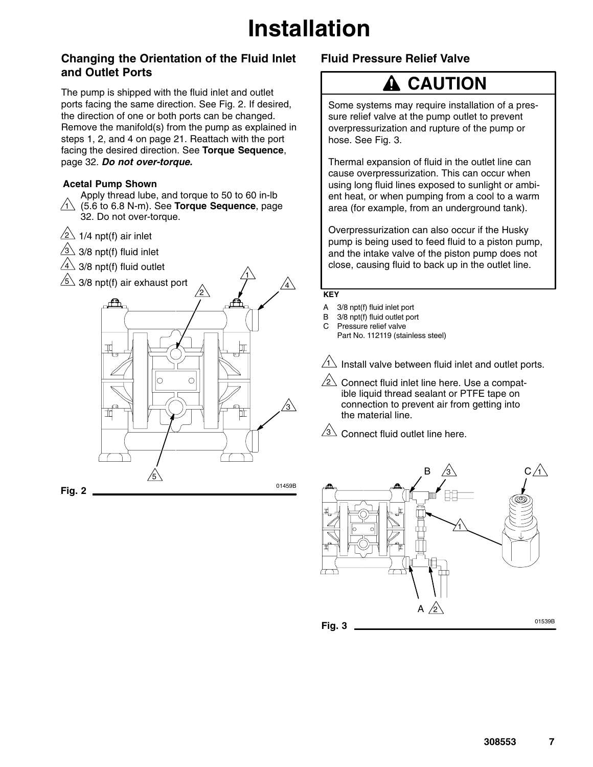#### **Changing the Orientation of the Fluid Inlet and Outlet Ports**

The pump is shipped with the fluid inlet and outlet ports facing the same direction. See Fig. 2. If desired, the direction of one or both ports can be changed. Remove the manifold(s) from the pump as explained in steps 1, 2, and 4 on page 21. Reattach with the port facing the desired direction. See **Torque Sequence**, page 32. *Do not over-torque.*

#### **Acetal Pump Shown**

1 (5.6 to 6.8 N-m). See **Torque Sequence**, page Apply thread lube, and torque to 50 to 60 in-lb 32. Do not over-torque.

C

 $\sqrt{2}$  1/4 npt(f) air inlet

 $3\!\!\!-\!\!\!3/8$  npt(f) fluid inlet

╥

**Fig. 2**

 $4 \sqrt{3}/8$  npt(f) fluid outlet



5

### **Fluid Pressure Relief Valve**

## **A** CAUTION

Some systems may require installation of a pressure relief valve at the pump outlet to prevent overpressurization and rupture of the pump or hose. See Fig. 3.

Thermal expansion of fluid in the outlet line can cause overpressurization. This can occur when using long fluid lines exposed to sunlight or ambient heat, or when pumping from a cool to a warm area (for example, from an underground tank).

Overpressurization can also occur if the Husky pump is being used to feed fluid to a piston pump, and the intake valve of the piston pump does not close, causing fluid to back up in the outlet line.

#### **KEY**

01459B

 $\sqrt{3}$ 

4

1

- A 3/8 npt(f) fluid inlet port
- B 3/8 npt(f) fluid outlet port
- C Pressure relief valve
	- Part No. 112119 (stainless steel)

 $1\overline{\!\!\!\perp}$  Install valve between fluid inlet and outlet ports.

 $\sqrt{2}$  Connect fluid inlet line here. Use a compatible liquid thread sealant or PTFE tape on connection to prevent air from getting into the material line.

 $3\sqrt{2}$  Connect fluid outlet line here.

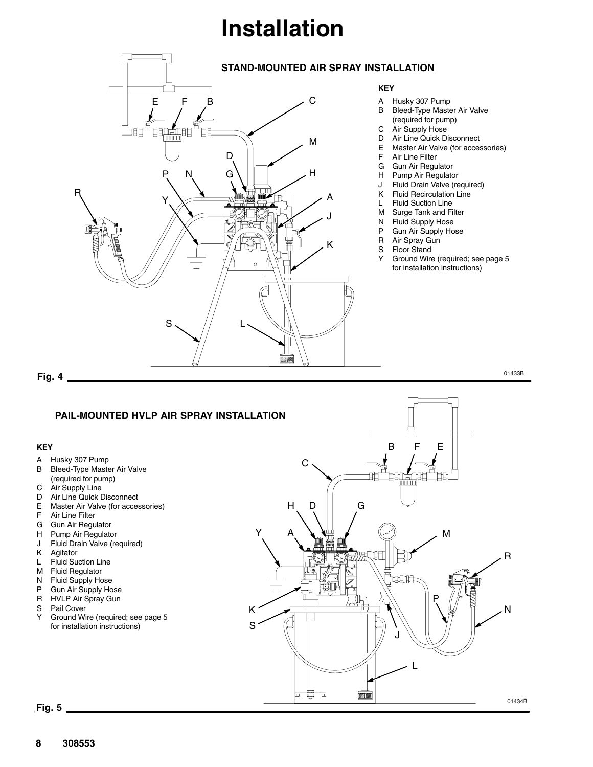

01433B

### **PAIL-MOUNTED HVLP AIR SPRAY INSTALLATION**

#### **KEY**

- A Husky 307 Pump
- B Bleed-Type Master Air Valve
- (required for pump)
- C Air Supply Line
- D Air Line Quick Disconnect<br>E Master Air Valve (for acces
- Master Air Valve (for accessories)
- F Air Line Filter
- G Gun Air Regulator
- H Pump Air Regulator
- J Fluid Drain Valve (required)<br>K Agitator
- Agitator
- L Fluid Suction Line
- M Fluid Regulator
- N Fluid Supply Hose<br>P Gun Air Supply Ho
- P Gun Air Supply Hose<br>R HVLP Air Spray Gun HVLP Air Spray Gun
- 
- S Pail Cover<br>Y Ground Wi Ground Wire (required; see page 5 for installation instructions)



**Fig. 5**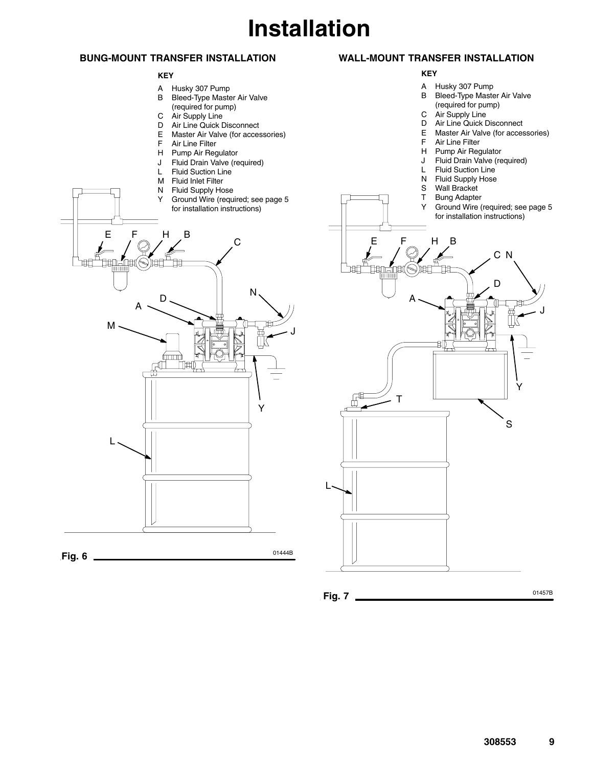#### **BUNG-MOUNT TRANSFER INSTALLATION**

#### **KEY**

- 
- A Husky 307 Pump<br>B Bleed-Type Maste Bleed-Type Master Air Valve (required for pump)
- C Air Supply Line
- D Air Line Quick Disconnect
- E Master Air Valve (for accessories)<br>F Air Line Filter
- F Air Line Filter<br>H Pump Air Reg
- Pump Air Regulator
- J Fluid Drain Valve (required)
- L Fluid Suction Line
- 



#### **WALL-MOUNT TRANSFER INSTALLATION**

#### **KEY**

- 
- A Husky 307 Pump Bleed-Type Master Air Valve (required for pump)
- C Air Supply Line<br>D Air Line Quick D
- 
- D Air Line Quick Disconnect<br>E Master Air Valve (for acces Master Air Valve (for accessories)
- F Air Line Filter<br>H Pump Air Red
- Pump Air Regulator
- J Fluid Drain Valve (required)
- 
- L Fluid Suction Line<br>N Fluid Supply Hose Fluid Supply Hose
- 
- S Wall Bracket<br>T Bung Adapter
- T Bung Adapter<br>Y Ground Wire ( Ground Wire (required; see page 5 for installation instructions)

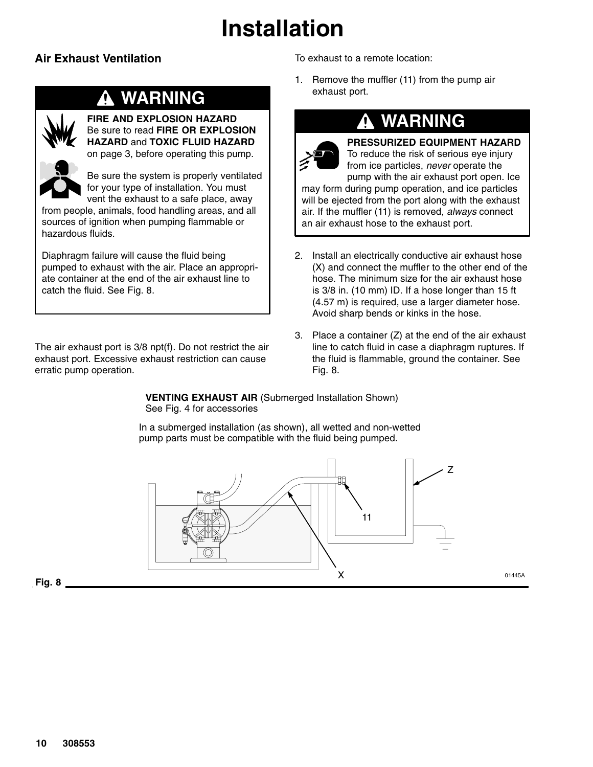### **Air Exhaust Ventilation**

## **WARNING**



**FIRE AND EXPLOSION HAZARD** Be sure to read **FIRE OR EXPLOSION HAZARD** and **TOXIC FLUID HAZARD** on page 3, before operating this pump.



Be sure the system is properly ventilated for your type of installation. You must vent the exhaust to a safe place, away

from people, animals, food handling areas, and all sources of ignition when pumping flammable or hazardous fluids.

Diaphragm failure will cause the fluid being pumped to exhaust with the air. Place an appropriate container at the end of the air exhaust line to catch the fluid. See Fig. 8.

The air exhaust port is 3/8 npt(f). Do not restrict the air exhaust port. Excessive exhaust restriction can cause erratic pump operation.

To exhaust to a remote location:

1. Remove the muffler (11) from the pump air exhaust port.

an air exhaust hose to the exhaust port.

## **WARNING**



**PRESSURIZED EQUIPMENT HAZARD** To reduce the risk of serious eye injury from ice particles, *never* operate the pump with the air exhaust port open. Ice may form during pump operation, and ice particles will be ejected from the port along with the exhaust air. If the muffler (11) is removed, *always* connect

- 2. Install an electrically conductive air exhaust hose (X) and connect the muffler to the other end of the hose. The minimum size for the air exhaust hose is 3/8 in. (10 mm) ID. If a hose longer than 15 ft (4.57 m) is required, use a larger diameter hose. Avoid sharp bends or kinks in the hose.
- 3. Place a container (Z) at the end of the air exhaust line to catch fluid in case a diaphragm ruptures. If the fluid is flammable, ground the container. See Fig. 8.

**VENTING EXHAUST AIR** (Submerged Installation Shown) See Fig. 4 for accessories

In a submerged installation (as shown), all wetted and non-wetted pump parts must be compatible with the fluid being pumped.

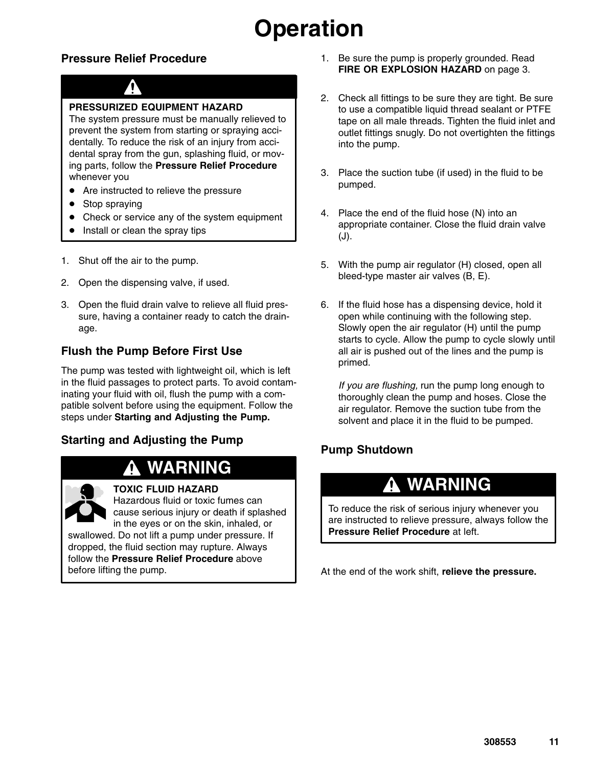# **Operation**

### **Pressure Relief Procedure**



#### **PRESSURIZED EQUIPMENT HAZARD**

The system pressure must be manually relieved to prevent the system from starting or spraying accidentally. To reduce the risk of an injury from accidental spray from the gun, splashing fluid, or moving parts, follow the **Pressure Relief Procedure** whenever you

- Are instructed to relieve the pressure
- $\bullet$ Stop spraying
- $\bullet$ Check or service any of the system equipment
- $\bullet$ Install or clean the spray tips
- 1. Shut off the air to the pump.
- 2. Open the dispensing valve, if used.
- 3. Open the fluid drain valve to relieve all fluid pressure, having a container ready to catch the drainage.

### **Flush the Pump Before First Use**

The pump was tested with lightweight oil, which is left in the fluid passages to protect parts. To avoid contaminating your fluid with oil, flush the pump with a compatible solvent before using the equipment. Follow the steps under **Starting and Adjusting the Pump.**

### **Starting and Adjusting the Pump**

### **WARNING**



#### **TOXIC FLUID HAZARD**

Hazardous fluid or toxic fumes can cause serious injury or death if splashed in the eyes or on the skin, inhaled, or swallowed. Do not lift a pump under pressure. If dropped, the fluid section may rupture. Always

follow the **Pressure Relief Procedure** above before lifting the pump.

- 1. Be sure the pump is properly grounded. Read **FIRE OR EXPLOSION HAZARD** on page 3.
- 2. Check all fittings to be sure they are tight. Be sure to use a compatible liquid thread sealant or PTFE tape on all male threads. Tighten the fluid inlet and outlet fittings snugly. Do not overtighten the fittings into the pump.
- 3. Place the suction tube (if used) in the fluid to be pumped.
- 4. Place the end of the fluid hose (N) into an appropriate container. Close the fluid drain valve (J).
- 5. With the pump air regulator (H) closed, open all bleed-type master air valves (B, E).
- 6. If the fluid hose has a dispensing device, hold it open while continuing with the following step. Slowly open the air regulator (H) until the pump starts to cycle. Allow the pump to cycle slowly until all air is pushed out of the lines and the pump is primed.

*If you are flushing,* run the pump long enough to thoroughly clean the pump and hoses. Close the air regulator. Remove the suction tube from the solvent and place it in the fluid to be pumped.

### **Pump Shutdown**

## **WARNING**

To reduce the risk of serious injury whenever you are instructed to relieve pressure, always follow the **Pressure Relief Procedure** at left.

At the end of the work shift, **relieve the pressure.**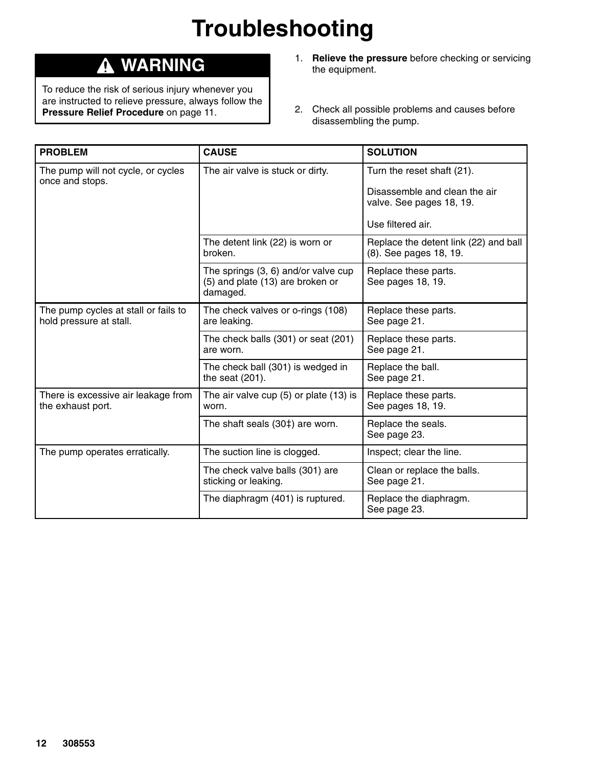# **Troubleshooting**

## **WARNING**

To reduce the risk of serious injury whenever you are instructed to relieve pressure, always follow the **Pressure Relief Procedure** on page 11.

- 1. **Relieve the pressure** before checking or servicing the equipment.
- 2. Check all possible problems and causes before disassembling the pump.

| <b>PROBLEM</b>                                                  | <b>CAUSE</b>                                                                          | <b>SOLUTION</b>                                                 |
|-----------------------------------------------------------------|---------------------------------------------------------------------------------------|-----------------------------------------------------------------|
| The pump will not cycle, or cycles<br>once and stops.           | The air valve is stuck or dirty.                                                      | Turn the reset shaft (21).                                      |
|                                                                 |                                                                                       | Disassemble and clean the air<br>valve. See pages 18, 19.       |
|                                                                 |                                                                                       | Use filtered air.                                               |
|                                                                 | The detent link (22) is worn or<br>broken.                                            | Replace the detent link (22) and ball<br>(8). See pages 18, 19. |
|                                                                 | The springs $(3, 6)$ and/or valve cup<br>(5) and plate (13) are broken or<br>damaged. | Replace these parts.<br>See pages 18, 19.                       |
| The pump cycles at stall or fails to<br>hold pressure at stall. | The check valves or o-rings (108)<br>are leaking.                                     | Replace these parts.<br>See page 21.                            |
|                                                                 | The check balls (301) or seat (201)<br>are worn.                                      | Replace these parts.<br>See page 21.                            |
|                                                                 | The check ball (301) is wedged in<br>the seat $(201)$ .                               | Replace the ball.<br>See page 21.                               |
| There is excessive air leakage from<br>the exhaust port.        | The air valve cup (5) or plate (13) is<br>worn.                                       | Replace these parts.<br>See pages 18, 19.                       |
|                                                                 | The shaft seals (30‡) are worn.                                                       | Replace the seals.<br>See page 23.                              |
| The pump operates erratically.                                  | The suction line is clogged.                                                          | Inspect; clear the line.                                        |
|                                                                 | The check valve balls (301) are<br>sticking or leaking.                               | Clean or replace the balls.<br>See page 21.                     |
|                                                                 | The diaphragm (401) is ruptured.                                                      | Replace the diaphragm.<br>See page 23.                          |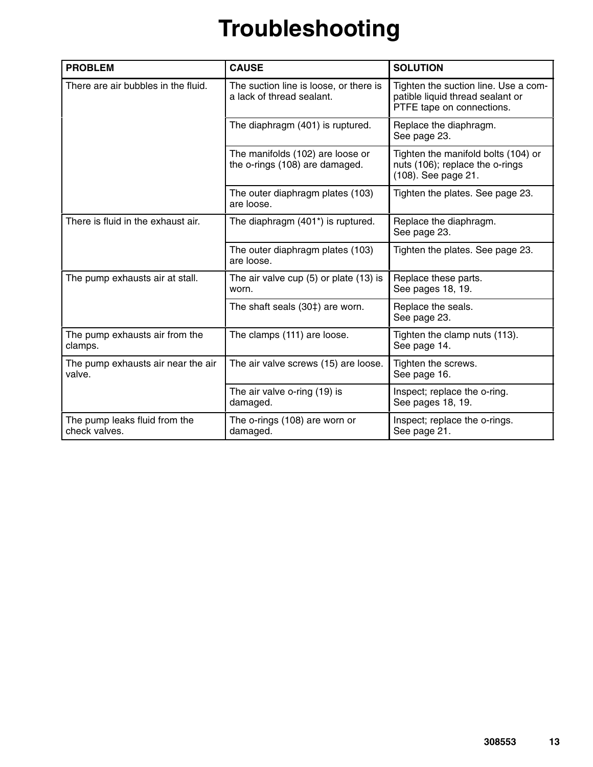# **Troubleshooting**

| <b>PROBLEM</b>                                 | <b>CAUSE</b>                                                        | <b>SOLUTION</b>                                                                                       |
|------------------------------------------------|---------------------------------------------------------------------|-------------------------------------------------------------------------------------------------------|
| There are air bubbles in the fluid.            | The suction line is loose, or there is<br>a lack of thread sealant. | Tighten the suction line. Use a com-<br>patible liquid thread sealant or<br>PTFE tape on connections. |
|                                                | The diaphragm (401) is ruptured.                                    | Replace the diaphragm.<br>See page 23.                                                                |
|                                                | The manifolds (102) are loose or<br>the o-rings (108) are damaged.  | Tighten the manifold bolts (104) or<br>nuts (106); replace the o-rings<br>(108). See page 21.         |
|                                                | The outer diaphragm plates (103)<br>are loose.                      | Tighten the plates. See page 23.                                                                      |
| There is fluid in the exhaust air.             | The diaphragm (401*) is ruptured.                                   | Replace the diaphragm.<br>See page 23.                                                                |
|                                                | The outer diaphragm plates (103)<br>are loose.                      | Tighten the plates. See page 23.                                                                      |
| The pump exhausts air at stall.                | The air valve cup $(5)$ or plate $(13)$ is<br>worn.                 | Replace these parts.<br>See pages 18, 19.                                                             |
|                                                | The shaft seals (30‡) are worn.                                     | Replace the seals.<br>See page 23.                                                                    |
| The pump exhausts air from the<br>clamps.      | The clamps (111) are loose.                                         | Tighten the clamp nuts (113).<br>See page 14.                                                         |
| The pump exhausts air near the air<br>valve.   | The air valve screws (15) are loose.                                | Tighten the screws.<br>See page 16.                                                                   |
|                                                | The air valve o-ring (19) is<br>damaged.                            | Inspect; replace the o-ring.<br>See pages 18, 19.                                                     |
| The pump leaks fluid from the<br>check valves. | The o-rings (108) are worn or<br>damaged.                           | Inspect; replace the o-rings.<br>See page 21.                                                         |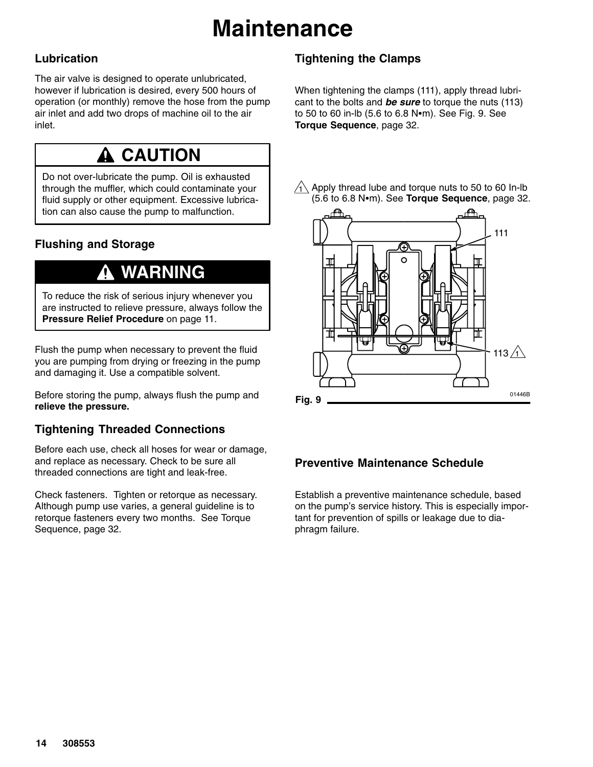# **Maintenance**

### **Lubrication**

The air valve is designed to operate unlubricated, however if lubrication is desired, every 500 hours of operation (or monthly) remove the hose from the pump air inlet and add two drops of machine oil to the air inlet.

## **A CAUTION**

Do not over-lubricate the pump. Oil is exhausted through the muffler, which could contaminate your fluid supply or other equipment. Excessive lubrication can also cause the pump to malfunction.

### **Flushing and Storage**

## **WARNING**

To reduce the risk of serious injury whenever you are instructed to relieve pressure, always follow the **Pressure Relief Procedure** on page 11.

Flush the pump when necessary to prevent the fluid you are pumping from drying or freezing in the pump and damaging it. Use a compatible solvent.

Before storing the pump, always flush the pump and **relieve the pressure.**

### **Tightening Threaded Connections**

Before each use, check all hoses for wear or damage, and replace as necessary. Check to be sure all threaded connections are tight and leak-free.

Check fasteners. Tighten or retorque as necessary. Although pump use varies, a general guideline is to retorque fasteners every two months. See Torque Sequence, page 32.

### **Tightening the Clamps**

When tightening the clamps (111), apply thread lubricant to the bolts and *be sure* to torque the nuts (113) to 50 to 60 in-lb (5.6 to 6.8 Nom). See Fig. 9. See **Torque Sequence**, page 32.

 $\overline{\text{1}}\backslash$  Apply thread lube and torque nuts to 50 to 60 In-Ib (5.6 to 6.8 Nom). See **Torque Sequence**, page 32.



### **Preventive Maintenance Schedule**

Establish a preventive maintenance schedule, based on the pump's service history. This is especially important for prevention of spills or leakage due to diaphragm failure.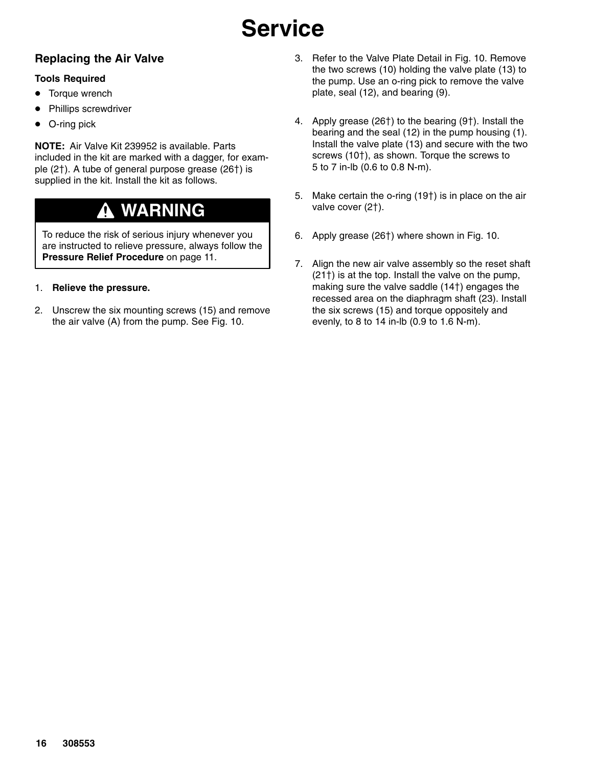### **Replacing the Air Valve**

#### **Tools Required**

- $\bullet$ Torque wrench
- $\bullet$ Phillips screwdriver
- $\bullet$ O-ring pick

**NOTE:** Air Valve Kit 239952 is available. Parts included in the kit are marked with a dagger, for example  $(2<sup>†</sup>)$ . A tube of general purpose grease  $(26<sup>†</sup>)$  is supplied in the kit. Install the kit as follows.

#### **WARNING** 0

To reduce the risk of serious injury whenever you are instructed to relieve pressure, always follow the **Pressure Relief Procedure** on page 11.

#### 1. **Relieve the pressure.**

2. Unscrew the six mounting screws (15) and remove the air valve (A) from the pump. See Fig. 10.

- 3. Refer to the Valve Plate Detail in Fig. 10. Remove the two screws (10) holding the valve plate (13) to the pump. Use an o-ring pick to remove the valve plate, seal (12), and bearing (9).
- 4. Apply grease  $(26<sup>†</sup>)$  to the bearing  $(9<sup>†</sup>)$ . Install the bearing and the seal (12) in the pump housing (1). Install the valve plate (13) and secure with the two screws  $(10<sup>+</sup>)$ , as shown. Torque the screws to 5 to 7 in-lb (0.6 to 0.8 N-m).
- 5. Make certain the o-ring  $(19<sup>†</sup>)$  is in place on the air valve cover (2†).
- 6. Apply grease (26†) where shown in Fig. 10.
- 7. Align the new air valve assembly so the reset shaft  $(21<sup>†</sup>)$  is at the top. Install the valve on the pump, making sure the valve saddle (14†) engages the recessed area on the diaphragm shaft (23). Install the six screws (15) and torque oppositely and evenly, to 8 to 14 in-lb (0.9 to 1.6 N-m).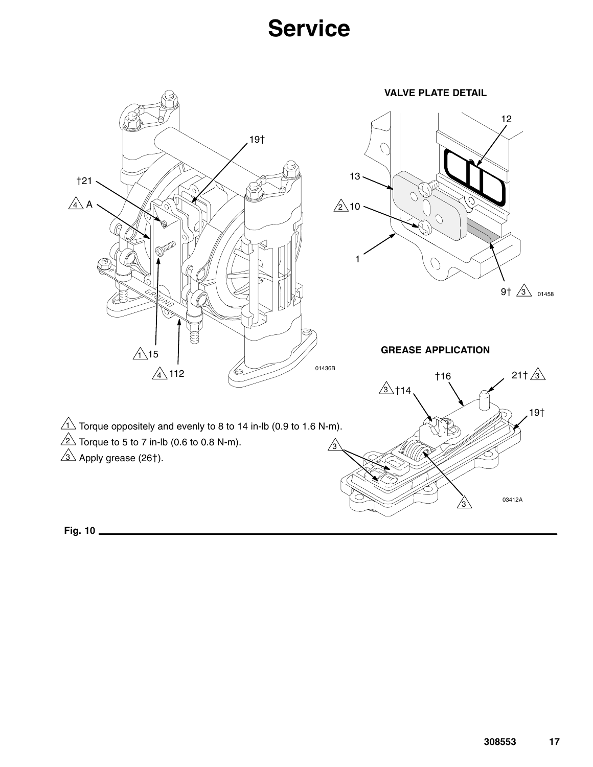

**Fig. 10**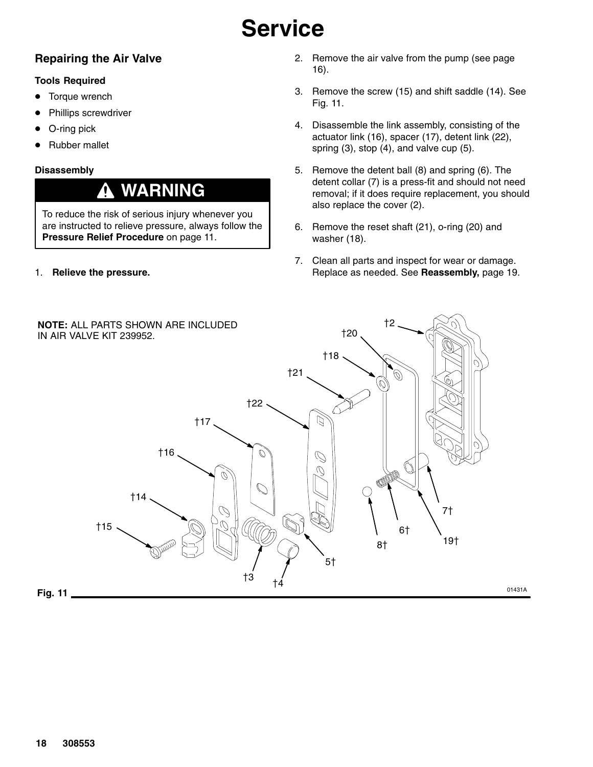### **Repairing the Air Valve**

#### **Tools Required**

- $\bullet$ Torque wrench
- $\bullet$ Phillips screwdriver
- $\bullet$ O-ring pick
- $\bullet$ Rubber mallet

#### **Disassembly**

## **WARNING**

To reduce the risk of serious injury whenever you are instructed to relieve pressure, always follow the **Pressure Relief Procedure** on page 11.

1. **Relieve the pressure.**

- 2. Remove the air valve from the pump (see page 16).
- 3. Remove the screw (15) and shift saddle (14). See Fig. 11.
- 4. Disassemble the link assembly, consisting of the actuator link (16), spacer (17), detent link (22), spring (3), stop (4), and valve cup (5).
- 5. Remove the detent ball (8) and spring (6). The detent collar (7) is a press-fit and should not need removal; if it does require replacement, you should also replace the cover (2).
- 6. Remove the reset shaft (21), o-ring (20) and washer (18).
- 7. Clean all parts and inspect for wear or damage. Replace as needed. See **Reassembly,** page 19.

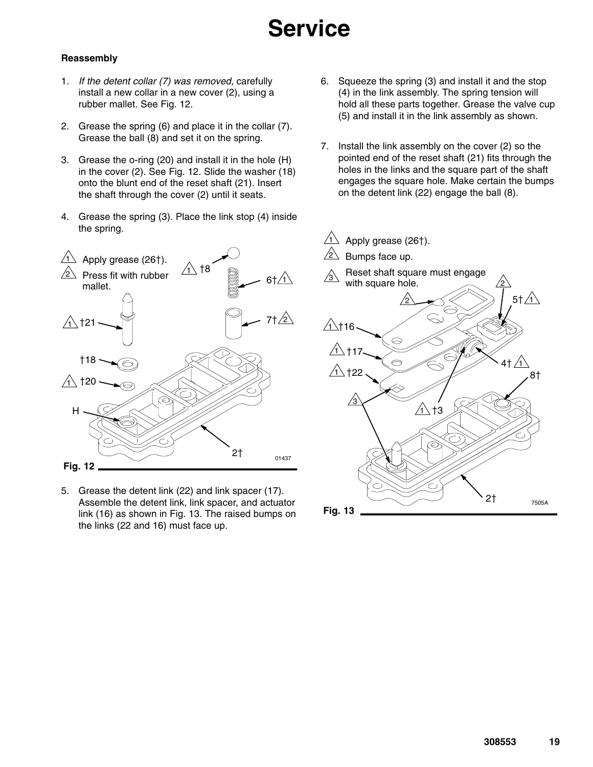#### **Reassembly**

- 1. *If the detent collar (7) was removed,* carefully install a new collar in a new cover (2), using a rubber mallet. See Fig. 12.
- 2. Grease the spring (6) and place it in the collar (7). Grease the ball (8) and set it on the spring.
- 3. Grease the o-ring (20) and install it in the hole (H) in the cover (2). See Fig. 12. Slide the washer (18) onto the blunt end of the reset shaft (21). Insert the shaft through the cover (2) until it seats.
- 4. Grease the spring (3). Place the link stop (4) inside the spring.



5. Grease the detent link (22) and link spacer (17). Assemble the detent link, link spacer, and actuator link (16) as shown in Fig. 13. The raised bumps on the links (22 and 16) must face up.

- 6. Squeeze the spring (3) and install it and the stop (4) in the link assembly. The spring tension will hold all these parts together. Grease the valve cup (5) and install it in the link assembly as shown.
- 7. Install the link assembly on the cover (2) so the pointed end of the reset shaft (21) fits through the holes in the links and the square part of the shaft engages the square hole. Make certain the bumps on the detent link (22) engage the ball (8).

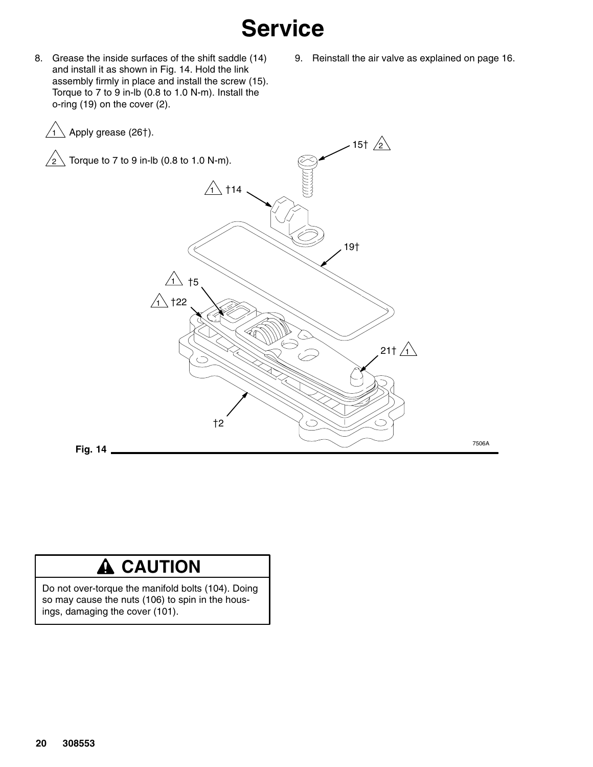- 8. Grease the inside surfaces of the shift saddle (14) and install it as shown in Fig. 14. Hold the link assembly firmly in place and install the screw (15). Torque to 7 to 9 in-lb (0.8 to 1.0 N-m). Install the o-ring (19) on the cover (2).
- 9. Reinstall the air valve as explained on page 16.



### **A** CAUTION

Do not over-torque the manifold bolts (104). Doing so may cause the nuts (106) to spin in the housings, damaging the cover (101).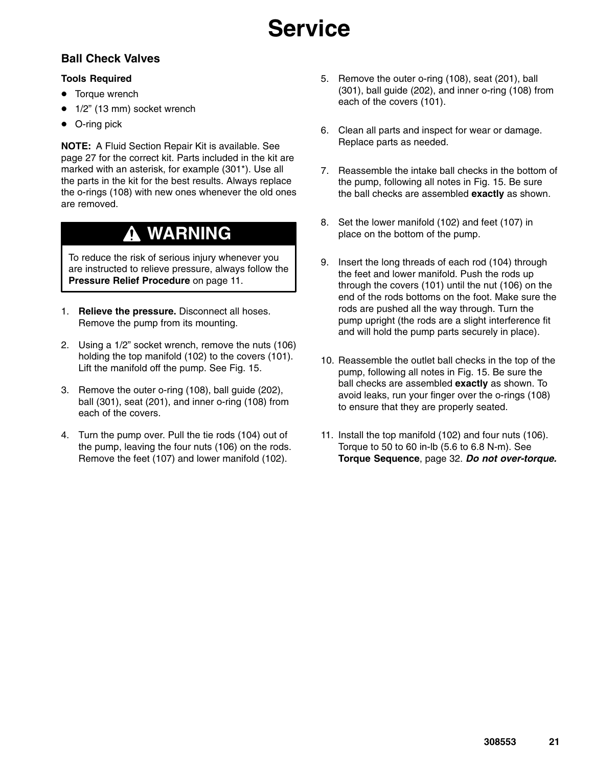### **Ball Check Valves**

#### **Tools Required**

- Torque wrench
- 1/2" (13 mm) socket wrench
- O-ring pick

**NOTE:** A Fluid Section Repair Kit is available. See page 27 for the correct kit. Parts included in the kit are marked with an asterisk, for example (301\*). Use all the parts in the kit for the best results. Always replace the o-rings (108) with new ones whenever the old ones are removed.

## **WARNING**

To reduce the risk of serious injury whenever you are instructed to relieve pressure, always follow the **Pressure Relief Procedure** on page 11.

- 1. **Relieve the pressure.** Disconnect all hoses. Remove the pump from its mounting.
- 2. Using a 1/2" socket wrench, remove the nuts (106) holding the top manifold (102) to the covers (101). Lift the manifold off the pump. See Fig. 15.
- 3. Remove the outer o-ring (108), ball guide (202), ball (301), seat (201), and inner o-ring (108) from each of the covers.
- 4. Turn the pump over. Pull the tie rods (104) out of the pump, leaving the four nuts (106) on the rods. Remove the feet (107) and lower manifold (102).
- 5. Remove the outer o-ring (108), seat (201), ball (301), ball guide (202), and inner o-ring (108) from each of the covers (101).
- 6. Clean all parts and inspect for wear or damage. Replace parts as needed.
- 7. Reassemble the intake ball checks in the bottom of the pump, following all notes in Fig. 15. Be sure the ball checks are assembled **exactly** as shown.
- 8. Set the lower manifold (102) and feet (107) in place on the bottom of the pump.
- 9. Insert the long threads of each rod (104) through the feet and lower manifold. Push the rods up through the covers (101) until the nut (106) on the end of the rods bottoms on the foot. Make sure the rods are pushed all the way through. Turn the pump upright (the rods are a slight interference fit and will hold the pump parts securely in place).
- 10. Reassemble the outlet ball checks in the top of the pump, following all notes in Fig. 15. Be sure the ball checks are assembled **exactly** as shown. To avoid leaks, run your finger over the o-rings (108) to ensure that they are properly seated.
- 11. Install the top manifold (102) and four nuts (106). Torque to 50 to 60 in-lb (5.6 to 6.8 N-m). See **Torque Sequence**, page 32. *Do not over-torque.*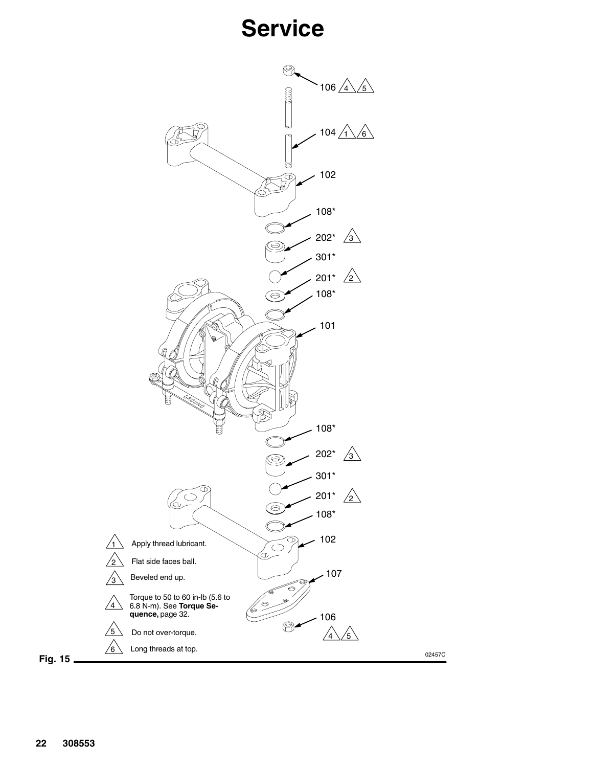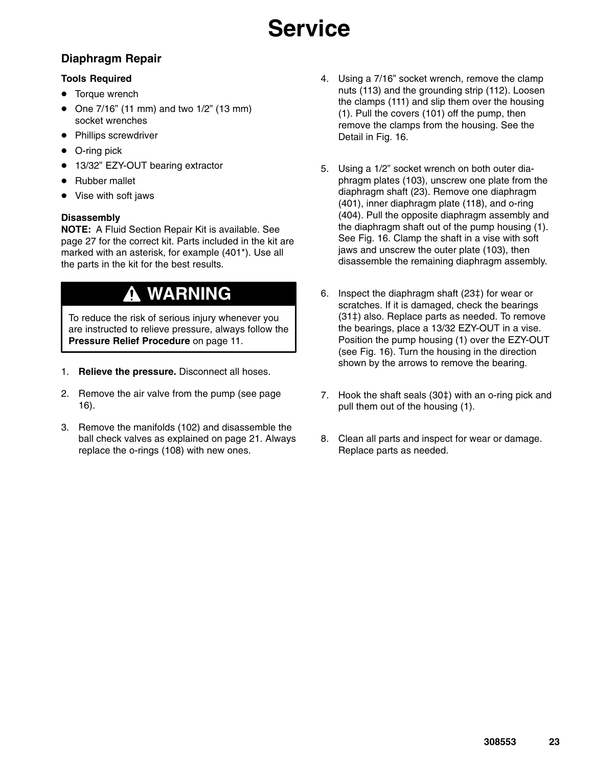### **Diaphragm Repair**

#### **Tools Required**

- Torque wrench
- One 7/16" (11 mm) and two 1/2" (13 mm) socket wrenches
- Phillips screwdriver
- $\bullet$ O-ring pick
- $\bullet$ 13/32" EZY-OUT bearing extractor
- Rubber mallet
- Vise with soft jaws

#### **Disassembly**

**NOTE:** A Fluid Section Repair Kit is available. See page 27 for the correct kit. Parts included in the kit are marked with an asterisk, for example (401\*). Use all the parts in the kit for the best results.

## **WARNING**

To reduce the risk of serious injury whenever you are instructed to relieve pressure, always follow the **Pressure Relief Procedure** on page 11.

- 1. **Relieve the pressure.** Disconnect all hoses.
- 2. Remove the air valve from the pump (see page 16).
- 3. Remove the manifolds (102) and disassemble the ball check valves as explained on page 21. Always replace the o-rings (108) with new ones.
- 4. Using a 7/16" socket wrench, remove the clamp nuts (113) and the grounding strip (112). Loosen the clamps (111) and slip them over the housing (1). Pull the covers (101) off the pump, then remove the clamps from the housing. See the Detail in Fig. 16.
- 5. Using a 1/2" socket wrench on both outer diaphragm plates (103), unscrew one plate from the diaphragm shaft (23). Remove one diaphragm (401), inner diaphragm plate (118), and o-ring (404). Pull the opposite diaphragm assembly and the diaphragm shaft out of the pump housing (1). See Fig. 16. Clamp the shaft in a vise with soft jaws and unscrew the outer plate (103), then disassemble the remaining diaphragm assembly.
- 6. Inspect the diaphragm shaft (23‡) for wear or scratches. If it is damaged, check the bearings  $(31<sup>‡</sup>)$  also. Replace parts as needed. To remove the bearings, place a 13/32 EZY-OUT in a vise. Position the pump housing (1) over the EZY-OUT (see Fig. 16). Turn the housing in the direction shown by the arrows to remove the bearing.
- 7. Hook the shaft seals  $(30<sup>‡</sup>)$  with an o-ring pick and pull them out of the housing (1).
- 8. Clean all parts and inspect for wear or damage. Replace parts as needed.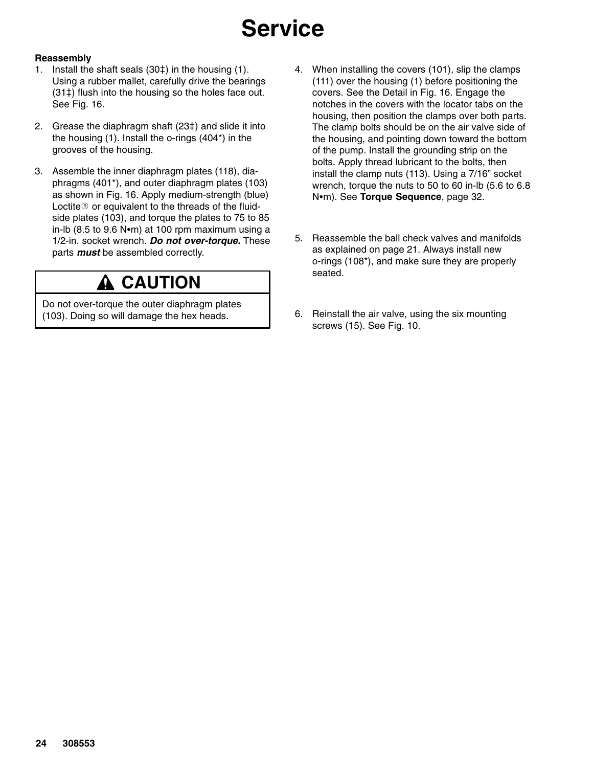#### **Reassembly**

- 1. Install the shaft seals  $(30<sup>‡</sup>)$  in the housing  $(1)$ . Using a rubber mallet, carefully drive the bearings (31‡) flush into the housing so the holes face out. See Fig. 16.
- 2. Grease the diaphragm shaft (23‡) and slide it into the housing (1). Install the o-rings (404\*) in the grooves of the housing.
- 3. Assemble the inner diaphragm plates (118), diaphragms (401\*), and outer diaphragm plates (103) as shown in Fig. 16. Apply medium-strength (blue) Loctite  $\mathbb D$  or equivalent to the threads of the fluidside plates (103), and torque the plates to 75 to 85 in-lb (8.5 to 9.6 N $\cdot$ m) at 100 rpm maximum using a 1/2-in. socket wrench. *Do not over-torque.* These parts *must* be assembled correctly.

## **A CAUTION**

Do not over-torque the outer diaphragm plates (103). Doing so will damage the hex heads.

- 4. When installing the covers (101), slip the clamps (111) over the housing (1) before positioning the covers. See the Detail in Fig. 16. Engage the notches in the covers with the locator tabs on the housing, then position the clamps over both parts. The clamp bolts should be on the air valve side of the housing, and pointing down toward the bottom of the pump. Install the grounding strip on the bolts. Apply thread lubricant to the bolts, then install the clamp nuts (113). Using a 7/16" socket wrench, torque the nuts to 50 to 60 in-lb (5.6 to 6.8 Nom). See **Torque Sequence**, page 32.
- 5. Reassemble the ball check valves and manifolds as explained on page 21. Always install new o-rings (108\*), and make sure they are properly seated.
- 6. Reinstall the air valve, using the six mounting screws (15). See Fig. 10.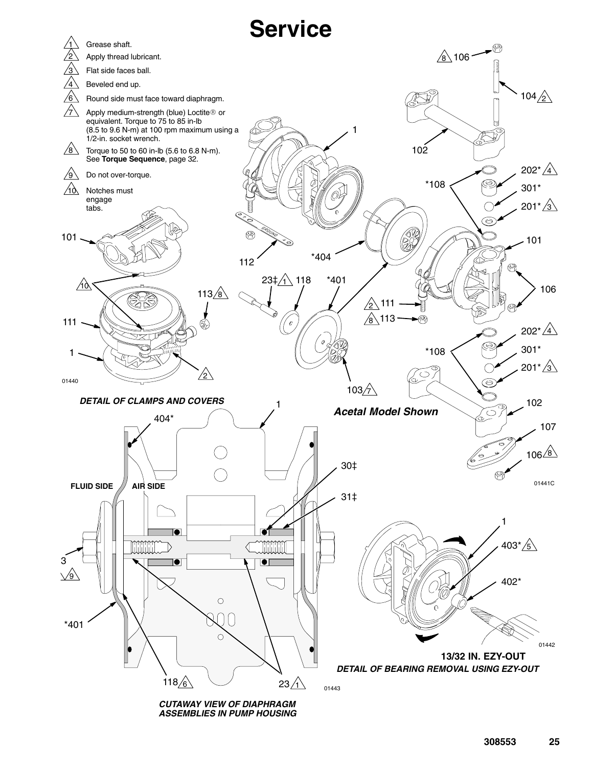

**308553 25**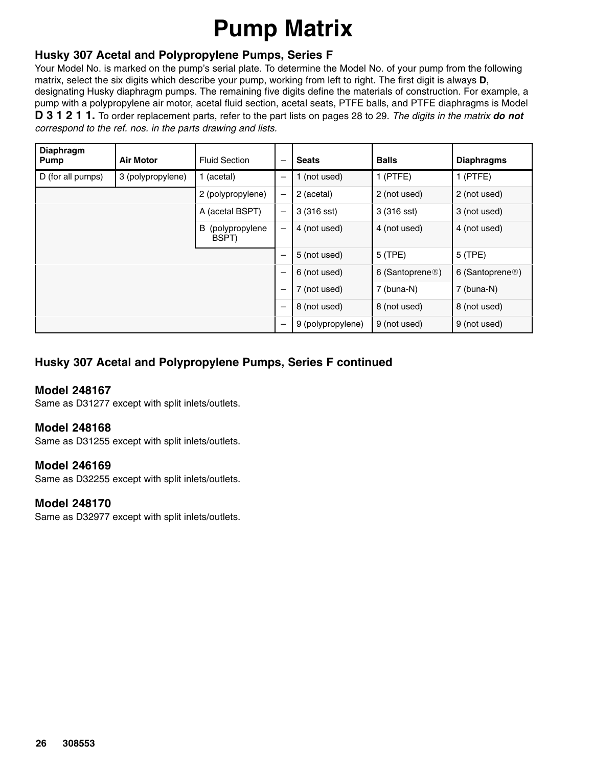# **Pump Matrix**

### **Husky 307 Acetal and Polypropylene Pumps, Series F**

Your Model No. is marked on the pump's serial plate. To determine the Model No. of your pump from the following matrix, select the six digits which describe your pump, working from left to right. The first digit is always **D**, designating Husky diaphragm pumps. The remaining five digits define the materials of construction. For example, a pump with a polypropylene air motor, acetal fluid section, acetal seats, PTFE balls, and PTFE diaphragms is Model **D 3 1 2 1 1.** To order replacement parts, refer to the part lists on pages 28 to 29. *The digits in the matrix do not correspond to the ref. nos. in the parts drawing and lists.*

| <b>Diaphragm</b><br>Pump | <b>Air Motor</b>  | <b>Fluid Section</b>         | —                 | <b>Seats</b>      | <b>Balls</b>                 | <b>Diaphragms</b>            |
|--------------------------|-------------------|------------------------------|-------------------|-------------------|------------------------------|------------------------------|
| D (for all pumps)        | 3 (polypropylene) | 1 (acetal)                   | —                 | 1 (not used)      | $1$ (PTFE)                   | $1$ (PTFE)                   |
|                          |                   | 2 (polypropylene)            | $\qquad \qquad -$ | 2 (acetal)        | 2 (not used)                 | 2 (not used)                 |
|                          |                   | A (acetal BSPT)              | $\qquad \qquad$   | 3 (316 sst)       | 3 (316 sst)                  | 3 (not used)                 |
|                          |                   | B<br>(polypropylene<br>BSPT) | $\qquad \qquad -$ | 4 (not used)      | 4 (not used)                 | 4 (not used)                 |
|                          |                   |                              | —                 | 5 (not used)      | 5 (TPE)                      | 5 (TPE)                      |
|                          |                   |                              | —                 | 6 (not used)      | 6 (Santoprene <sup>®</sup> ) | 6 (Santoprene <sup>®</sup> ) |
|                          |                   |                              | —                 | 7 (not used)      | 7 (buna-N)                   | 7 (buna-N)                   |
|                          |                   |                              | —                 | 8 (not used)      | 8 (not used)                 | 8 (not used)                 |
|                          |                   |                              | -                 | 9 (polypropylene) | 9 (not used)                 | 9 (not used)                 |

### **Husky 307 Acetal and Polypropylene Pumps, Series F continued**

#### **Model 248167**

Same as D31277 except with split inlets/outlets.

#### **Model 248168**

Same as D31255 except with split inlets/outlets.

#### **Model 246169**

Same as D32255 except with split inlets/outlets.

#### **Model 248170**

Same as D32977 except with split inlets/outlets.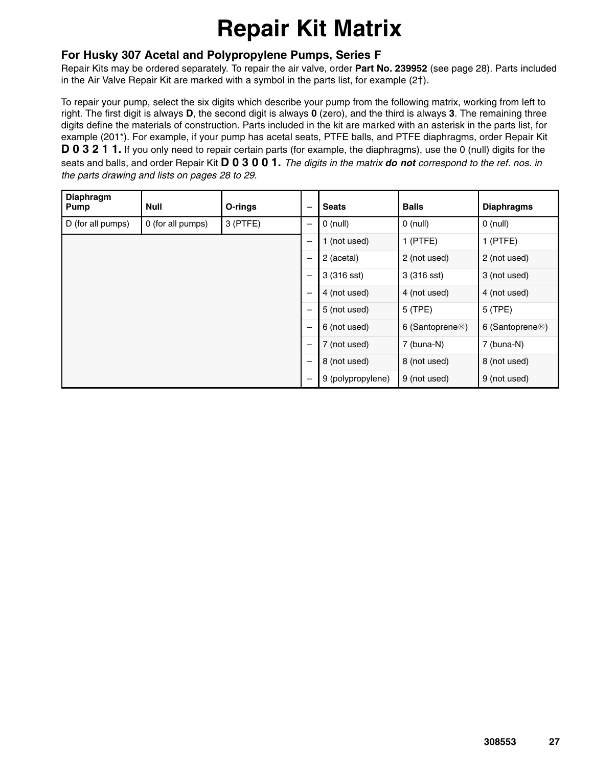# **Repair Kit Matrix**

#### **For Husky 307 Acetal and Polypropylene Pumps, Series F**

Repair Kits may be ordered separately. To repair the air valve, order **Part No. 239952** (see page 28). Parts included in the Air Valve Repair Kit are marked with a symbol in the parts list, for example  $(2<sup>†</sup>)$ .

To repair your pump, select the six digits which describe your pump from the following matrix, working from left to right. The first digit is always **D**, the second digit is always **0** (zero), and the third is always **3**. The remaining three digits define the materials of construction. Parts included in the kit are marked with an asterisk in the parts list, for example (201\*). For example, if your pump has acetal seats, PTFE balls, and PTFE diaphragms, order Repair Kit **D 0 3 2 1 1.** If you only need to repair certain parts (for example, the diaphragms), use the 0 (null) digits for the seats and balls, and order Repair Kit **D 0 3 0 0 1.** *The digits in the matrix do not correspond to the ref. nos. in the parts drawing and lists on pages 28 to 29.*

| <b>Diaphragm</b><br><b>Pump</b> | Null              | O-rings    | -                        | <b>Seats</b>      | <b>Balls</b>                 | <b>Diaphragms</b>            |
|---------------------------------|-------------------|------------|--------------------------|-------------------|------------------------------|------------------------------|
| D (for all pumps)               | 0 (for all pumps) | $3$ (PTFE) |                          | $0$ (null)        | $0$ (null)                   | $0$ (null)                   |
|                                 |                   |            | —                        | 1 (not used)      | $1$ (PTFE)                   | $1$ (PTFE)                   |
|                                 |                   |            |                          | 2 (acetal)        | 2 (not used)                 | 2 (not used)                 |
|                                 |                   |            |                          | 3 (316 sst)       | 3 (316 sst)                  | 3 (not used)                 |
|                                 |                   |            |                          | 4 (not used)      | 4 (not used)                 | 4 (not used)                 |
|                                 |                   |            |                          | 5 (not used)      | 5 (TPE)                      | 5 (TPE)                      |
|                                 |                   |            |                          | 6 (not used)      | 6 (Santoprene <sup>®</sup> ) | 6 (Santoprene <sup>®</sup> ) |
|                                 |                   |            | $\overline{\phantom{0}}$ | 7 (not used)      | 7 (buna-N)                   | 7 (buna-N)                   |
|                                 |                   |            | —                        | 8 (not used)      | 8 (not used)                 | 8 (not used)                 |
|                                 |                   |            | —                        | 9 (polypropylene) | 9 (not used)                 | 9 (not used)                 |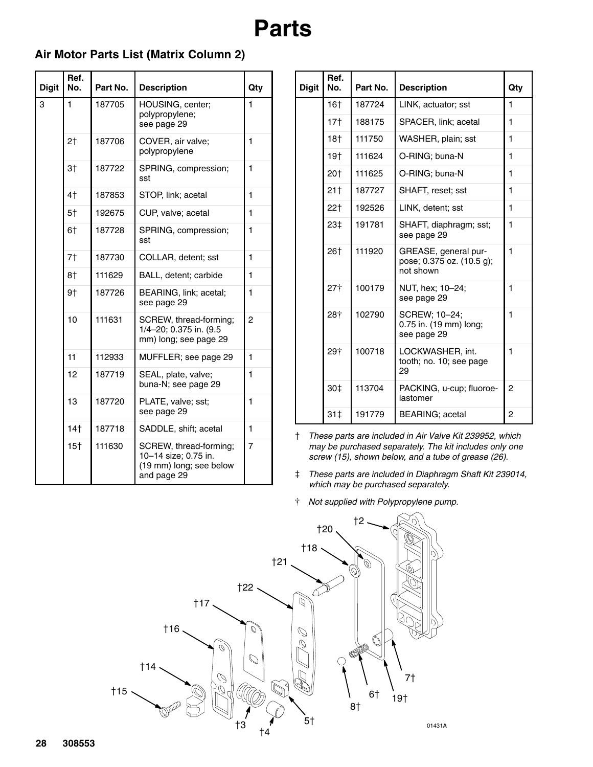### **Air Motor Parts List (Matrix Column 2)**

| <b>Digit</b> | Ref.<br>No. | Part No. | <b>Description</b>                                                                       | Qty            |
|--------------|-------------|----------|------------------------------------------------------------------------------------------|----------------|
| 3            | 1           | 187705   | HOUSING, center;<br>polypropylene;<br>see page 29                                        | $\mathbf{1}$   |
|              | 2†          | 187706   | COVER, air valve;<br>polypropylene                                                       | 1              |
|              | 3†          | 187722   | SPRING, compression;<br>sst                                                              | $\blacksquare$ |
|              | 4†          | 187853   | STOP, link; acetal                                                                       | $\mathbf{1}$   |
|              | 5†          | 192675   | CUP, valve; acetal                                                                       | 1              |
|              | 6†          | 187728   | SPRING, compression;<br>sst                                                              | $\mathbf{1}$   |
|              | 7†          | 187730   | COLLAR, detent; sst                                                                      | $\blacksquare$ |
|              | 8†          | 111629   | BALL, detent; carbide                                                                    | 1              |
|              | 9†          | 187726   | BEARING, link; acetal;<br>see page 29                                                    | 1              |
|              | 10          | 111631   | SCREW, thread-forming;<br>1/4-20; 0.375 in. (9.5<br>mm) long; see page 29                | 2              |
|              | 11          | 112933   | MUFFLER; see page 29                                                                     | $\mathbf{1}$   |
|              | 12          | 187719   | SEAL, plate, valve;<br>buna-N; see page 29                                               | 1              |
|              | 13          | 187720   | PLATE, valve; sst;<br>see page 29                                                        | $\mathbf{1}$   |
|              | 14†         | 187718   | SADDLE, shift; acetal                                                                    | $\mathbf{1}$   |
|              | 15†         | 111630   | SCREW, thread-forming;<br>10-14 size; 0.75 in.<br>(19 mm) long; see below<br>and page 29 | 7              |

| <b>Digit</b> | Ref.<br>No.     | Part No. | <b>Description</b>                                             | Qty            |
|--------------|-----------------|----------|----------------------------------------------------------------|----------------|
|              | 16†             | 187724   | LINK, actuator; sst                                            | 1              |
|              | $17+$           | 188175   | SPACER, link; acetal                                           | $\blacksquare$ |
|              | 18†             | 111750   | WASHER, plain; sst                                             | 1              |
|              | 19†             | 111624   | O-RING; buna-N                                                 | 1              |
|              | 20†             | 111625   | O-RING; buna-N                                                 | 1              |
|              | 21†             | 187727   | SHAFT, reset; sst                                              | 1              |
|              | 22†             | 192526   | LINK, detent; sst                                              | 1              |
|              | 23‡             | 191781   | SHAFT, diaphragm; sst;<br>see page 29                          | $\mathbf{1}$   |
|              | 26†             | 111920   | GREASE, general pur-<br>pose; 0.375 oz. (10.5 g);<br>not shown | 1              |
|              | $27+$           | 100179   | NUT, hex; 10-24;<br>see page 29                                | $\blacksquare$ |
|              | 28†             | 102790   | SCREW; 10-24;<br>0.75 in. (19 mm) long;<br>see page 29         | 1              |
|              | 29†             | 100718   | LOCKWASHER, int.<br>tooth; no. 10; see page<br>29              | 1              |
|              | 30 <sup>†</sup> | 113704   | PACKING, u-cup; fluoroe-<br>lastomer                           | 2              |
|              | 31 <sup>†</sup> | 191779   | <b>BEARING</b> ; acetal                                        | 2              |

- *These parts are included in Air Valve Kit 239952, which may be purchased separately. The kit includes only one screw (15), shown below, and a tube of grease (26).*
- *These parts are included in Diaphragm Shaft Kit 239014, which may be purchased separately.*
- *Not supplied with Polypropylene pump.*

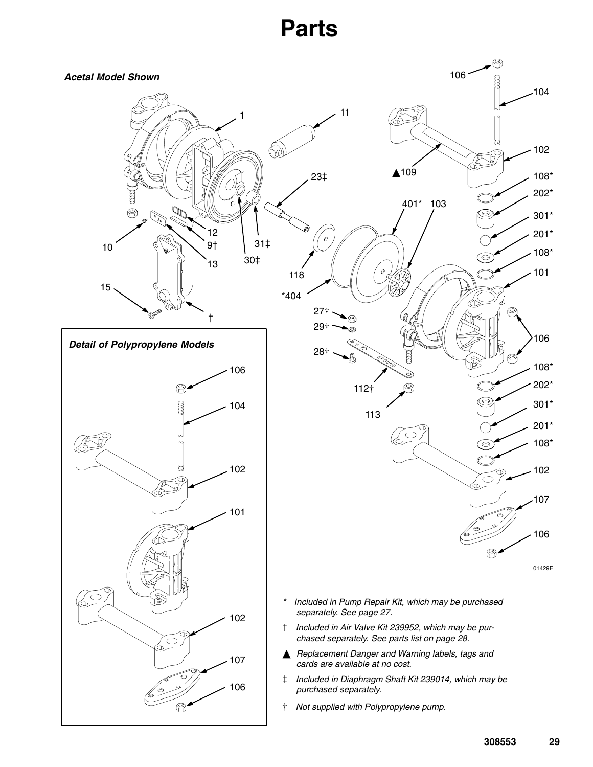## **Parts**

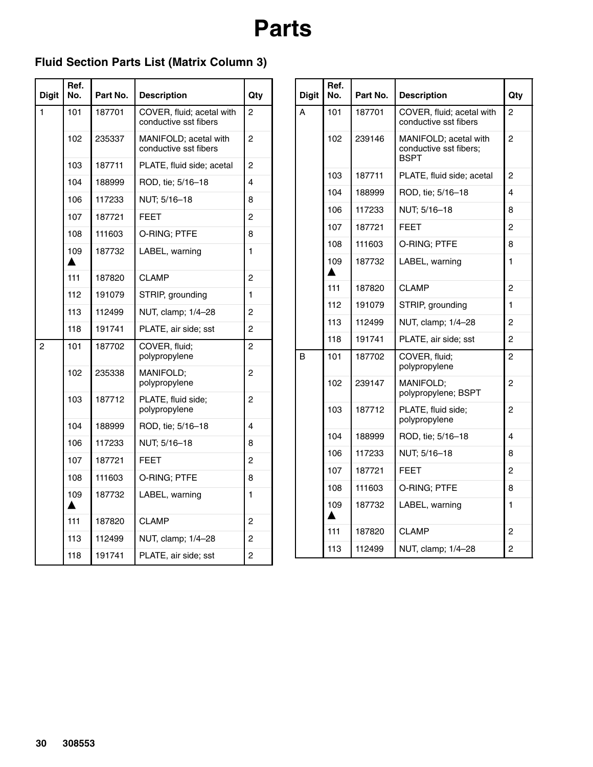### **Fluid Section Parts List (Matrix Column 3)**

| <b>Digit</b> | Ref.<br>No. | Part No. | <b>Description</b>                                 | Qty            |
|--------------|-------------|----------|----------------------------------------------------|----------------|
| 1            | 101         | 187701   | COVER, fluid; acetal with<br>conductive sst fibers | 2              |
|              | 102         | 235337   | MANIFOLD; acetal with<br>conductive sst fibers     | 2              |
|              | 103         | 187711   | PLATE, fluid side; acetal                          | 2              |
|              | 104         | 188999   | ROD, tie; 5/16-18                                  | 4              |
|              | 106         | 117233   | NUT; 5/16-18                                       | 8              |
|              | 107         | 187721   | <b>FEET</b>                                        | $\overline{2}$ |
|              | 108         | 111603   | O-RING; PTFE                                       | 8              |
|              | 109         | 187732   | LABEL, warning                                     | 1              |
|              | 111         | 187820   | <b>CLAMP</b>                                       | 2              |
|              | 112         | 191079   | STRIP, grounding                                   | 1              |
|              | 113         | 112499   | NUT, clamp; 1/4-28                                 | 2              |
|              | 118         | 191741   | PLATE, air side; sst                               | 2              |
| 2            | 101         | 187702   | COVER, fluid;<br>polypropylene                     | $\overline{c}$ |
|              | 102         | 235338   | <b>MANIFOLD:</b><br>polypropylene                  | 2              |
|              | 103         | 187712   | PLATE, fluid side;<br>polypropylene                | 2              |
|              | 104         | 188999   | ROD, tie; 5/16-18                                  | 4              |
|              | 106         | 117233   | NUT; 5/16-18                                       | 8              |
|              | 107         | 187721   | <b>FEET</b>                                        | 2              |
|              | 108         | 111603   | O-RING; PTFE                                       | 8              |
|              | 109         | 187732   | LABEL, warning                                     | 1              |
|              | 111         | 187820   | <b>CLAMP</b>                                       | 2              |
|              | 113         | 112499   | NUT, clamp; 1/4-28                                 | $\overline{c}$ |
|              | 118         | 191741   | PLATE, air side; sst                               | 2              |

| <b>Digit</b> | Ref.<br>No. | Part No. | <b>Description</b>                                             | Qty            |
|--------------|-------------|----------|----------------------------------------------------------------|----------------|
| A            | 101         | 187701   | COVER, fluid; acetal with<br>conductive sst fibers             | 2              |
|              | 102         | 239146   | MANIFOLD; acetal with<br>conductive sst fibers;<br><b>BSPT</b> | 2              |
|              | 103         | 187711   | PLATE, fluid side; acetal                                      | 2              |
|              | 104         | 188999   | ROD, tie: 5/16-18                                              | 4              |
|              | 106         | 117233   | NUT; 5/16-18                                                   | 8              |
|              | 107         | 187721   | FEET                                                           | 2              |
|              | 108         | 111603   | O-RING: PTFE                                                   | 8              |
|              | 109         | 187732   | LABEL, warning                                                 | 1              |
|              | 111         | 187820   | <b>CLAMP</b>                                                   | $\overline{2}$ |
|              | 112         | 191079   | STRIP, grounding                                               | 1              |
|              | 113         | 112499   | NUT, clamp; 1/4-28                                             | 2              |
|              | 118         | 191741   | PLATE, air side; sst                                           | 2              |
| B            | 101         | 187702   | COVER, fluid;<br>polypropylene                                 | 2              |
|              | 102         | 239147   | <b>MANIFOLD:</b><br>polypropylene; BSPT                        | 2              |
|              | 103         | 187712   | PLATE, fluid side;<br>polypropylene                            | 2              |
|              | 104         | 188999   | ROD, tie; 5/16-18                                              | 4              |
|              | 106         | 117233   | NUT; 5/16-18                                                   | 8              |
|              | 107         | 187721   | FEET                                                           | 2              |
|              | 108         | 111603   | O-RING; PTFE                                                   | 8              |
|              | 109         | 187732   | LABEL, warning                                                 | 1              |
|              | 111         | 187820   | <b>CLAMP</b>                                                   | 2              |
|              | 113         | 112499   | NUT, clamp; 1/4-28                                             | 2              |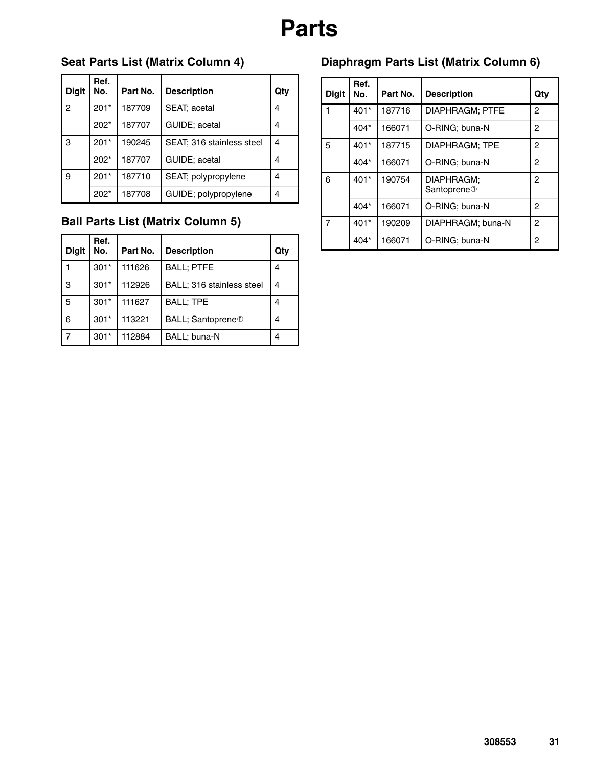# **Parts**

### **Seat Parts List (Matrix Column 4)**

| <b>Digit</b>   | Ref.<br>No. | Part No. | <b>Description</b>        | Qty |
|----------------|-------------|----------|---------------------------|-----|
| $\overline{2}$ | $201*$      | 187709   | SEAT; acetal              | 4   |
|                | $202*$      | 187707   | GUIDE; acetal             | 4   |
| 3              | $201*$      | 190245   | SEAT; 316 stainless steel | 4   |
|                | $202*$      | 187707   | GUIDE; acetal             | 4   |
| 9              | $201*$      | 187710   | SEAT; polypropylene       | 4   |
|                | $202*$      | 187708   | GUIDE; polypropylene      | 4   |

### **Ball Parts List (Matrix Column 5)**

| <b>Digit</b>   | Ref.<br>No. | Part No. | <b>Description</b>        | Qtv |
|----------------|-------------|----------|---------------------------|-----|
|                | $301*$      | 111626   | <b>BALL; PTFE</b>         | 4   |
| 3              | $301*$      | 112926   | BALL; 316 stainless steel | 4   |
| 5              | $301*$      | 111627   | <b>BALL; TPE</b>          | 4   |
| 6              | $301*$      | 113221   | BALL; Santoprene®         | 4   |
| $\overline{7}$ | $301*$      | 112884   | BALL; buna-N              | 4   |

### **Diaphragm Parts List (Matrix Column 6)**

| <b>Digit</b> | Ref.<br>No. | Part No. | <b>Description</b>                    | Qty            |
|--------------|-------------|----------|---------------------------------------|----------------|
|              | $401*$      | 187716   | DIAPHRAGM; PTFE                       | 2              |
|              | 404*        | 166071   | O-RING; buna-N                        | 2              |
| 5            | $401*$      | 187715   | DIAPHRAGM; TPE                        | $\overline{c}$ |
|              | 404*        | 166071   | O-RING; buna-N                        | $\overline{c}$ |
| 6            | $401*$      | 190754   | DIAPHRAGM:<br>Santoprene <sup>®</sup> | $\overline{c}$ |
|              | $404*$      | 166071   | O-RING; buna-N                        | 2              |
| 7            | $401*$      | 190209   | DIAPHRAGM: buna-N                     | 2              |
|              | 404*        | 166071   | O-RING; buna-N                        | 2              |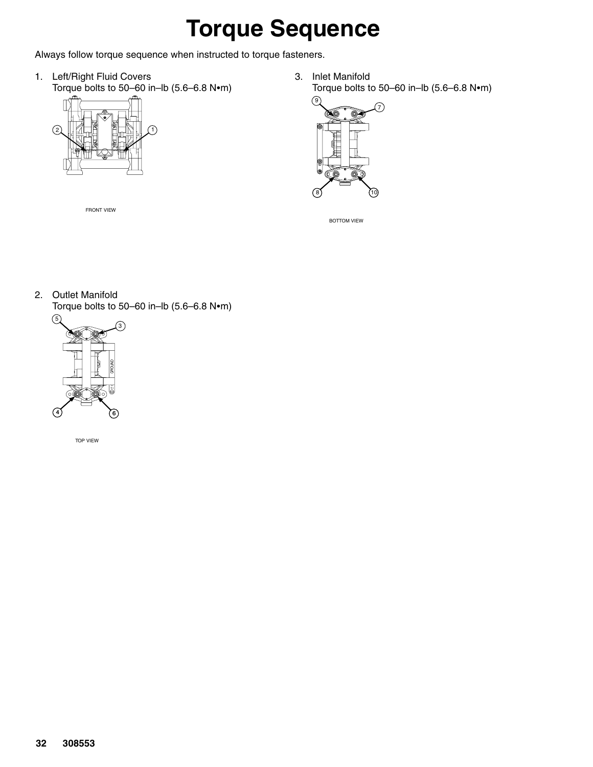# **Torque Sequence**

Always follow torque sequence when instructed to torque fasteners.

1. Left/Right Fluid Covers Torque bolts to  $50-60$  in-lb (5.6-6.8 N $\bullet$ m)



FRONT VIEW

3. Inlet Manifold Torque bolts to 50-60 in-lb  $(5.6-6.8 \text{ N} \cdot \text{m})$ 



BOTTOM VIEW

2. Outlet Manifold

Torque bolts to 50-60 in-lb  $(5.6-6.8 \text{ N} \cdot \text{m})$ 



TOP VIEW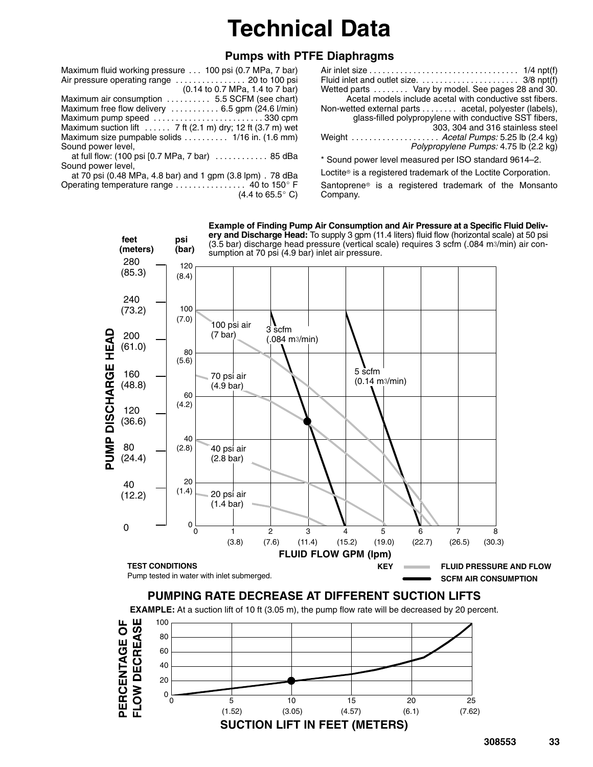# **Technical Data**

### **Pumps with PTFE Diaphragms**

| Maximum fluid working pressure  100 psi (0.7 MPa, 7 bar)  |
|-----------------------------------------------------------|
|                                                           |
| (0.14 to 0.7 MPa, 1.4 to 7 bar)                           |
| Maximum air consumption  5.5 SCFM (see chart)             |
| Maximum free flow delivery  6.5 gpm (24.6 l/min)          |
| Maximum pump speed 330 cpm                                |
| Maximum suction lift  7 ft (2.1 m) dry; 12 ft (3.7 m) wet |
| Maximum size pumpable solids  1/16 in. (1.6 mm)           |
| Sound power level,                                        |
| at full flow: (100 psi [0.7 MPa, 7 bar)  85 dBa           |

Sound power level,

at 70 psi (0.48 MPa, 4.8 bar) and 1 gpm (3.8 lpm) . 78 dBa berating temperature range  $\ldots \ldots \ldots \ldots$  40 to 150 $^{\circ}$  F Operating temperature range . . . . . . . . . . . . .  $(4.4 \text{ to } 65.5^{\circ} \text{ C})$  Air inlet size 1/4 npt(f) . . . . . . . . . . . . . . . . . . . . . . . . . . . . . . . . . . Fluid inlet and outlet size. 3/8 npt(f) . . . . . . . . . . . . . . . . . . . . . . Wetted parts . . . . . . . . Vary by model. See pages 28 and 30. Acetal models include acetal with conductive sst fibers. Non-wetted external parts . . . . . . . . acetal, polyester (labels), glass-filled polypropylene with conductive SST fibers, 303, 304 and 316 stainless steel Weight . . . . . . . . . . . . . . . . . . . . *Acetal Pumps:* 5.25 lb (2.4 kg) *Polypropylene Pumps:* 4.75 lb (2.2 kg) \* Sound power level measured per ISO standard 9614–2.

Loctite<sup>®</sup> is a registered trademark of the Loctite Corporation. Santoprene is a registered trademark of the Monsanto Company.

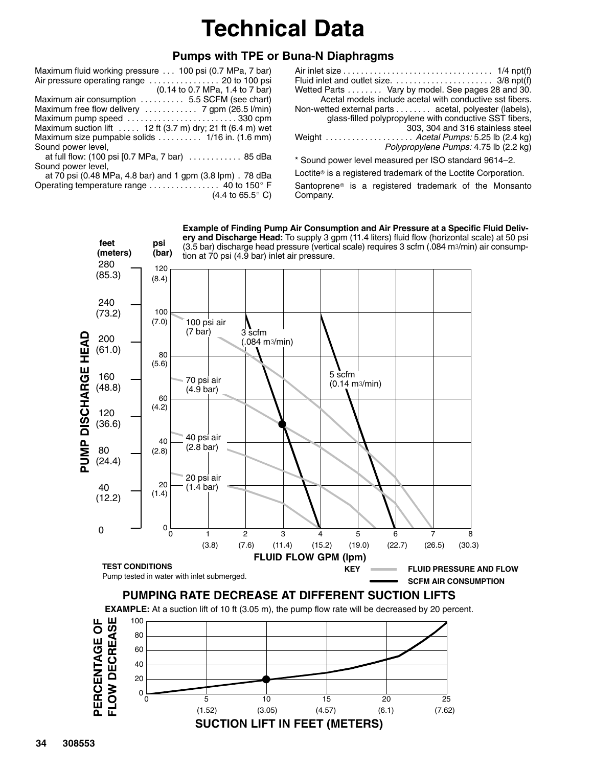# **Technical Data**

#### **Pumps with TPE or Buna-N Diaphragms**

Sound power level,

at 70 psi (0.48 MPa, 4.8 bar) and 1 gpm (3.8 lpm) . 78 dBa berating temperature range  $\ldots \ldots \ldots \ldots$  40 to 150° F Operating temperature range . . . . . . . . . .  $(4.4 \text{ to } 65.5^{\circ} \text{ C})$ 

| Fluid inlet and outlet size. $\dots \dots \dots \dots \dots \dots$ 3/8 npt(f) |
|-------------------------------------------------------------------------------|
| Wetted Parts  Vary by model. See pages 28 and 30.                             |
| Acetal models include acetal with conductive sst fibers.                      |
| Non-wetted external parts  acetal, polyester (labels),                        |
| glass-filled polypropylene with conductive SST fibers,                        |
| 303, 304 and 316 stainless steel                                              |
| Weight  Acetal Pumps: 5.25 lb (2.4 kg)                                        |
| Polypropylene Pumps: 4.75 lb (2.2 kg)                                         |
| $*$ Sound power level measured per ISO standard $9611-2$                      |

ound power level measured per ISO standard 9614–2.

Loctite® is a registered trademark of the Loctite Corporation. Santoprene is a registered trademark of the Monsanto Company.

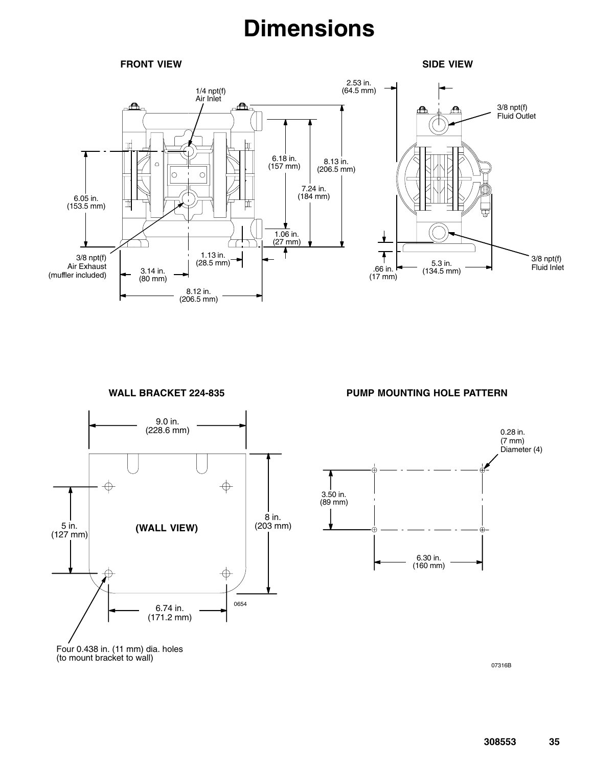## **Dimensions**

#### **FRONT VIEW**

**SIDE VIEW**



**WALL BRACKET 224-835**



**PUMP MOUNTING HOLE PATTERN**



Four 0.438 in. (11 mm) dia. holes (to mount bracket to wall)

07316B